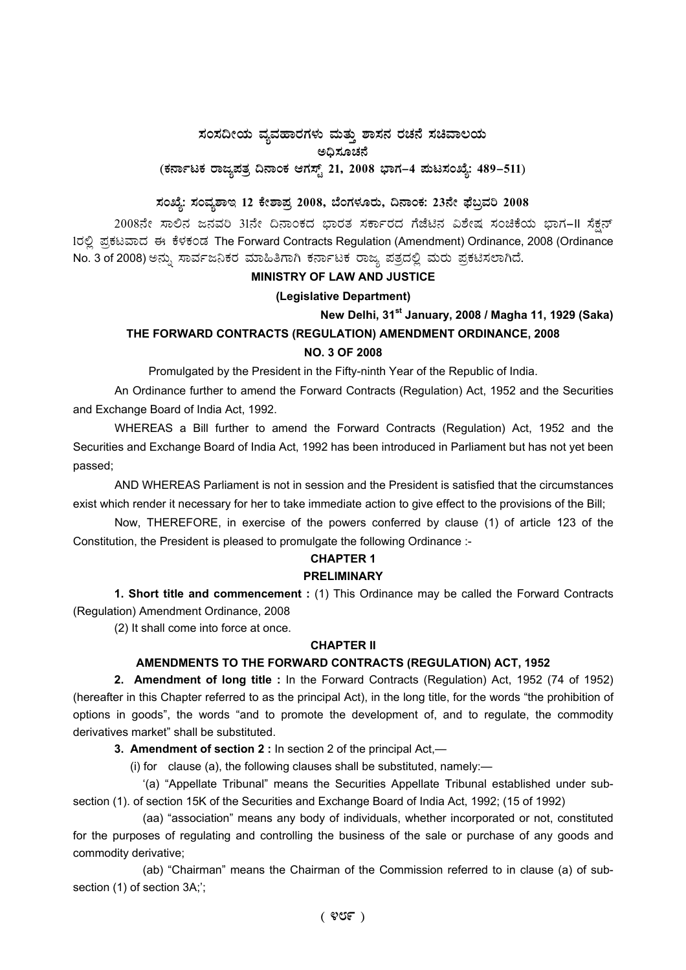## $\,$ ಸಂಸದೀಯ ವ್ಯವಹಾರಗಳು ಮತ್ತು ಶಾಸನ ರಚನೆ ಸಚಿವಾಲಯ ಅಧಿಸೂಚನೆ

# (ಕರ್ನಾಟಕ ರಾಜ್ಯಪತ್ರ ದಿನಾಂಕ ಆಗಸ್ಟ್ 21, 2008 ಭಾಗ–4 **ಮಟಸಂಖ್ಯೆ: 489–511**)

# ಸಂಖ್ಯೆ: ಸಂವ್ಯಶಾಇ 12 ಕೇಶಾಪ್ರ 2008, ಬೆಂಗಳೂರು, ದಿನಾಂಕ: 23ನೇ ಫೆಬ್ರವರಿ 2008

2008ನೇ ಸಾಲಿನ ಜನವರಿ 31ನೇ ದಿನಾಂಕದ ಭಾರತ ಸರ್ಕಾರದ ಗೆಜೆಟಿನ ವಿಶೇಷ ಸಂಚಿಕೆಯ ಭಾಗ-II ಸೆಕ್ಷನ್ 1ರಲ್ಲಿ ಪ್ರಕಟವಾದ ಈ ಕೆಳಕಂಡ The Forward Contracts Regulation (Amendment) Ordinance, 2008 (Ordinance No. 3 of 2008) ಅನ್ನು ಸಾರ್ವಜನಿಕರ ಮಾಹಿತಿಗಾಗಿ ಕರ್ನಾಟಕ ರಾಜ್ಯ ಪತ್ರದಲ್ಲಿ ಮರು ಪ್ರಕಟಿಸಲಾಗಿದೆ.

## **MINISTRY OF LAW AND JUSTICE**

## **(Legislative Department)**

**New Delhi, 31st January, 2008 / Magha 11, 1929 (Saka)** 

## **THE FORWARD CONTRACTS (REGULATION) AMENDMENT ORDINANCE, 2008 NO. 3 OF 2008**

Promulgated by the President in the Fifty-ninth Year of the Republic of India.

An Ordinance further to amend the Forward Contracts (Regulation) Act, 1952 and the Securities and Exchange Board of India Act, 1992.

WHEREAS a Bill further to amend the Forward Contracts (Regulation) Act, 1952 and the Securities and Exchange Board of India Act, 1992 has been introduced in Parliament but has not yet been passed;

AND WHEREAS Parliament is not in session and the President is satisfied that the circumstances exist which render it necessary for her to take immediate action to give effect to the provisions of the Bill;

Now, THEREFORE, in exercise of the powers conferred by clause (1) of article 123 of the Constitution, the President is pleased to promulgate the following Ordinance :-

## **CHAPTER 1**

## **PRELIMINARY**

**1. Short title and commencement :** (1) This Ordinance may be called the Forward Contracts (Regulation) Amendment Ordinance, 2008

(2) It shall come into force at once.

## **CHAPTER II**

## **AMENDMENTS TO THE FORWARD CONTRACTS (REGULATION) ACT, 1952**

**2. Amendment of long title :** In the Forward Contracts (Regulation) Act, 1952 (74 of 1952) (hereafter in this Chapter referred to as the principal Act), in the long title, for the words "the prohibition of options in goods", the words "and to promote the development of, and to regulate, the commodity derivatives market" shall be substituted.

**3. Amendment of section 2 :** In section 2 of the principal Act,—

(i) for clause (a), the following clauses shall be substituted, namely:—

'(a) "Appellate Tribunal" means the Securities Appellate Tribunal established under subsection (1). of section 15K of the Securities and Exchange Board of India Act, 1992; (15 of 1992)

(aa) "association" means any body of individuals, whether incorporated or not, constituted for the purposes of regulating and controlling the business of the sale or purchase of any goods and commodity derivative;

(ab) "Chairman" means the Chairman of the Commission referred to in clause (a) of subsection (1) of section 3A;';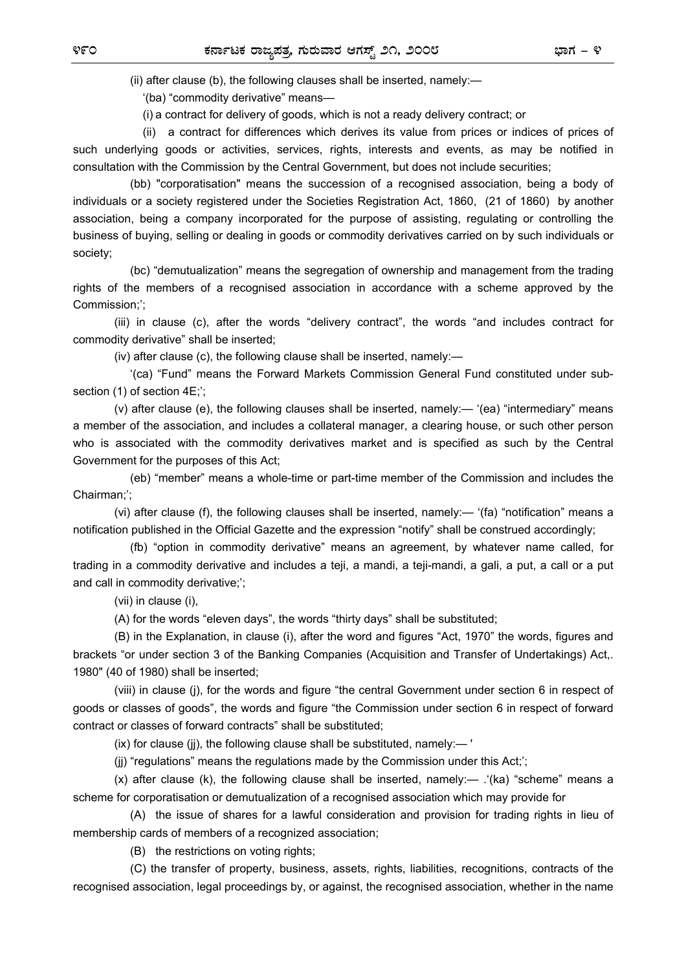(ii) after clause (b), the following clauses shall be inserted, namely:—

'(ba) "commodity derivative" means—

(i) a contract for delivery of goods, which is not a ready delivery contract; or

 (ii) a contract for differences which derives its value from prices or indices of prices of such underlying goods or activities, services, rights, interests and events, as may be notified in consultation with the Commission by the Central Government, but does not include securities;

 (bb) "corporatisation" means the succession of a recognised association, being a body of individuals or a society registered under the Societies Registration Act, 1860, (21 of 1860) by another association, being a company incorporated for the purpose of assisting, regulating or controlling the business of buying, selling or dealing in goods or commodity derivatives carried on by such individuals or society;

 (bc) "demutualization" means the segregation of ownership and management from the trading rights of the members of a recognised association in accordance with a scheme approved by the Commission;';

 (iii) in clause (c), after the words "delivery contract", the words "and includes contract for commodity derivative" shall be inserted;

(iv) after clause (c), the following clause shall be inserted, namely:—

 '(ca) "Fund" means the Forward Markets Commission General Fund constituted under subsection (1) of section 4E;';

 (v) after clause (e), the following clauses shall be inserted, namely:— '(ea) "intermediary" means a member of the association, and includes a collateral manager, a clearing house, or such other person who is associated with the commodity derivatives market and is specified as such by the Central Government for the purposes of this Act;

 (eb) "member" means a whole-time or part-time member of the Commission and includes the Chairman;';

 (vi) after clause (f), the following clauses shall be inserted, namely:— '(fa) "notification" means a notification published in the Official Gazette and the expression "notify" shall be construed accordingly;

 (fb) "option in commodity derivative" means an agreement, by whatever name called, for trading in a commodity derivative and includes a teji, a mandi, a teji-mandi, a gali, a put, a call or a put and call in commodity derivative;';

(vii) in clause (i),

(A) for the words "eleven days", the words "thirty days" shall be substituted;

 (B) in the Explanation, in clause (i), after the word and figures "Act, 1970" the words, figures and brackets "or under section 3 of the Banking Companies (Acquisition and Transfer of Undertakings) Act,. 1980" (40 of 1980) shall be inserted;

 (viii) in clause (j), for the words and figure "the central Government under section 6 in respect of goods or classes of goods", the words and figure "the Commission under section 6 in respect of forward contract or classes of forward contracts" shall be substituted;

(ix) for clause (jj), the following clause shall be substituted, namely:— '

(jj) "regulations" means the regulations made by the Commission under this Act;';

 $(x)$  after clause (k), the following clause shall be inserted, namely:— .  $'(ka)$  "scheme" means a scheme for corporatisation or demutualization of a recognised association which may provide for

 (A) the issue of shares for a lawful consideration and provision for trading rights in lieu of membership cards of members of a recognized association;

(B) the restrictions on voting rights;

 (C) the transfer of property, business, assets, rights, liabilities, recognitions, contracts of the recognised association, legal proceedings by, or against, the recognised association, whether in the name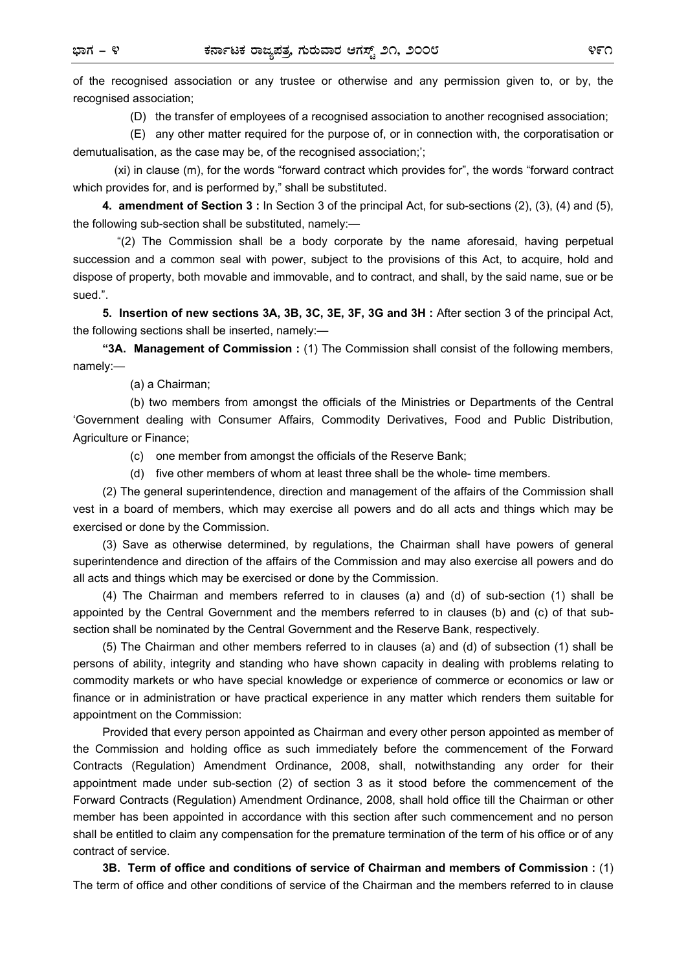of the recognised association or any trustee or otherwise and any permission given to, or by, the recognised association;

(D) the transfer of employees of a recognised association to another recognised association;

 (E) any other matter required for the purpose of, or in connection with, the corporatisation or demutualisation, as the case may be, of the recognised association;';

 (xi) in clause (m), for the words "forward contract which provides for", the words "forward contract which provides for, and is performed by," shall be substituted.

**4. amendment of Section 3 :** In Section 3 of the principal Act, for sub-sections (2), (3), (4) and (5), the following sub-section shall be substituted, namely:—

"(2) The Commission shall be a body corporate by the name aforesaid, having perpetual succession and a common seal with power, subject to the provisions of this Act, to acquire, hold and dispose of property, both movable and immovable, and to contract, and shall, by the said name, sue or be sued.".

**5. Insertion of new sections 3A, 3B, 3C, 3E, 3F, 3G and 3H :** After section 3 of the principal Act, the following sections shall be inserted, namely:—

**"3A. Management of Commission :** (1) The Commission shall consist of the following members, namely:—

(a) a Chairman;

 (b) two members from amongst the officials of the Ministries or Departments of the Central 'Government dealing with Consumer Affairs, Commodity Derivatives, Food and Public Distribution, Agriculture or Finance;

- (c) one member from amongst the officials of the Reserve Bank;
- (d) five other members of whom at least three shall be the whole- time members.

(2) The general superintendence, direction and management of the affairs of the Commission shall vest in a board of members, which may exercise all powers and do all acts and things which may be exercised or done by the Commission.

(3) Save as otherwise determined, by regulations, the Chairman shall have powers of general superintendence and direction of the affairs of the Commission and may also exercise all powers and do all acts and things which may be exercised or done by the Commission.

(4) The Chairman and members referred to in clauses (a) and (d) of sub-section (1) shall be appointed by the Central Government and the members referred to in clauses (b) and (c) of that subsection shall be nominated by the Central Government and the Reserve Bank, respectively.

(5) The Chairman and other members referred to in clauses (a) and (d) of subsection (1) shall be persons of ability, integrity and standing who have shown capacity in dealing with problems relating to commodity markets or who have special knowledge or experience of commerce or economics or law or finance or in administration or have practical experience in any matter which renders them suitable for appointment on the Commission:

Provided that every person appointed as Chairman and every other person appointed as member of the Commission and holding office as such immediately before the commencement of the Forward Contracts (Regulation) Amendment Ordinance, 2008, shall, notwithstanding any order for their appointment made under sub-section (2) of section 3 as it stood before the commencement of the Forward Contracts (Regulation) Amendment Ordinance, 2008, shall hold office till the Chairman or other member has been appointed in accordance with this section after such commencement and no person shall be entitled to claim any compensation for the premature termination of the term of his office or of any contract of service.

**3B. Term of office and conditions of service of Chairman and members of Commission :** (1) The term of office and other conditions of service of the Chairman and the members referred to in clause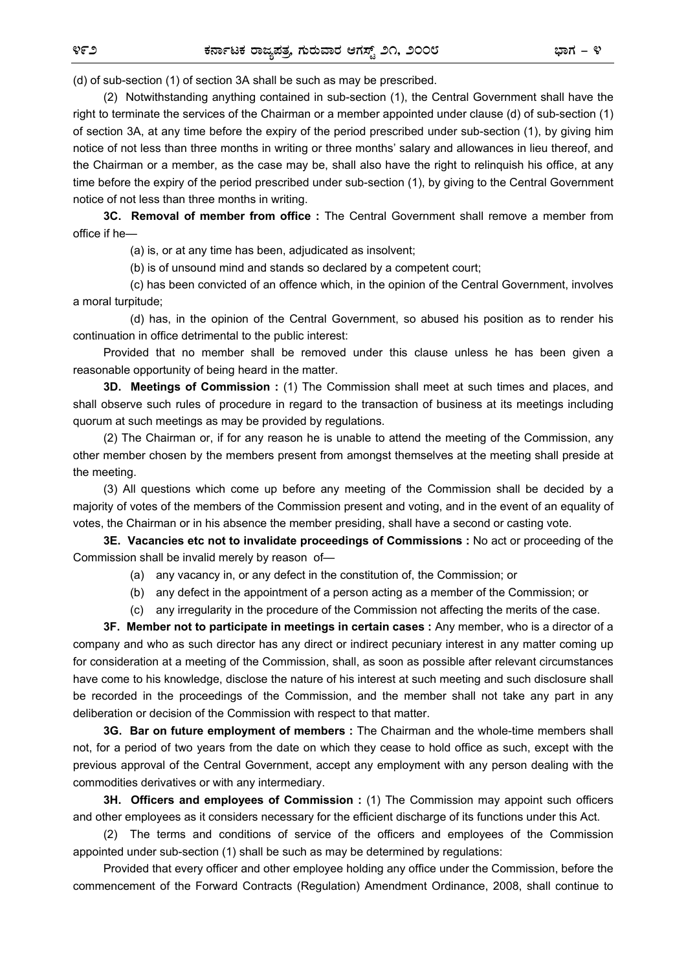(d) of sub-section (1) of section 3A shall be such as may be prescribed.

(2) Notwithstanding anything contained in sub-section (1), the Central Government shall have the right to terminate the services of the Chairman or a member appointed under clause (d) of sub-section (1) of section 3A, at any time before the expiry of the period prescribed under sub-section (1), by giving him notice of not less than three months in writing or three months' salary and allowances in lieu thereof, and the Chairman or a member, as the case may be, shall also have the right to relinquish his office, at any time before the expiry of the period prescribed under sub-section (1), by giving to the Central Government notice of not less than three months in writing.

**3C. Removal of member from office :** The Central Government shall remove a member from office if he—

(a) is, or at any time has been, adjudicated as insolvent;

(b) is of unsound mind and stands so declared by a competent court;

 (c) has been convicted of an offence which, in the opinion of the Central Government, involves a moral turpitude;

 (d) has, in the opinion of the Central Government, so abused his position as to render his continuation in office detrimental to the public interest:

Provided that no member shall be removed under this clause unless he has been given a reasonable opportunity of being heard in the matter.

**3D. Meetings of Commission :** (1) The Commission shall meet at such times and places, and shall observe such rules of procedure in regard to the transaction of business at its meetings including quorum at such meetings as may be provided by regulations.

(2) The Chairman or, if for any reason he is unable to attend the meeting of the Commission, any other member chosen by the members present from amongst themselves at the meeting shall preside at the meeting.

(3) All questions which come up before any meeting of the Commission shall be decided by a majority of votes of the members of the Commission present and voting, and in the event of an equality of votes, the Chairman or in his absence the member presiding, shall have a second or casting vote.

**3E. Vacancies etc not to invalidate proceedings of Commissions :** No act or proceeding of the Commission shall be invalid merely by reason of—

- (a) any vacancy in, or any defect in the constitution of, the Commission; or
- (b) any defect in the appointment of a person acting as a member of the Commission; or

(c) any irregularity in the procedure of the Commission not affecting the merits of the case.

**3F. Member not to participate in meetings in certain cases :** Any member, who is a director of a company and who as such director has any direct or indirect pecuniary interest in any matter coming up for consideration at a meeting of the Commission, shall, as soon as possible after relevant circumstances have come to his knowledge, disclose the nature of his interest at such meeting and such disclosure shall be recorded in the proceedings of the Commission, and the member shall not take any part in any deliberation or decision of the Commission with respect to that matter.

**3G. Bar on future employment of members :** The Chairman and the whole-time members shall not, for a period of two years from the date on which they cease to hold office as such, except with the previous approval of the Central Government, accept any employment with any person dealing with the commodities derivatives or with any intermediary.

**3H. Officers and employees of Commission :** (1) The Commission may appoint such officers and other employees as it considers necessary for the efficient discharge of its functions under this Act.

(2) The terms and conditions of service of the officers and employees of the Commission appointed under sub-section (1) shall be such as may be determined by regulations:

Provided that every officer and other employee holding any office under the Commission, before the commencement of the Forward Contracts (Regulation) Amendment Ordinance, 2008, shall continue to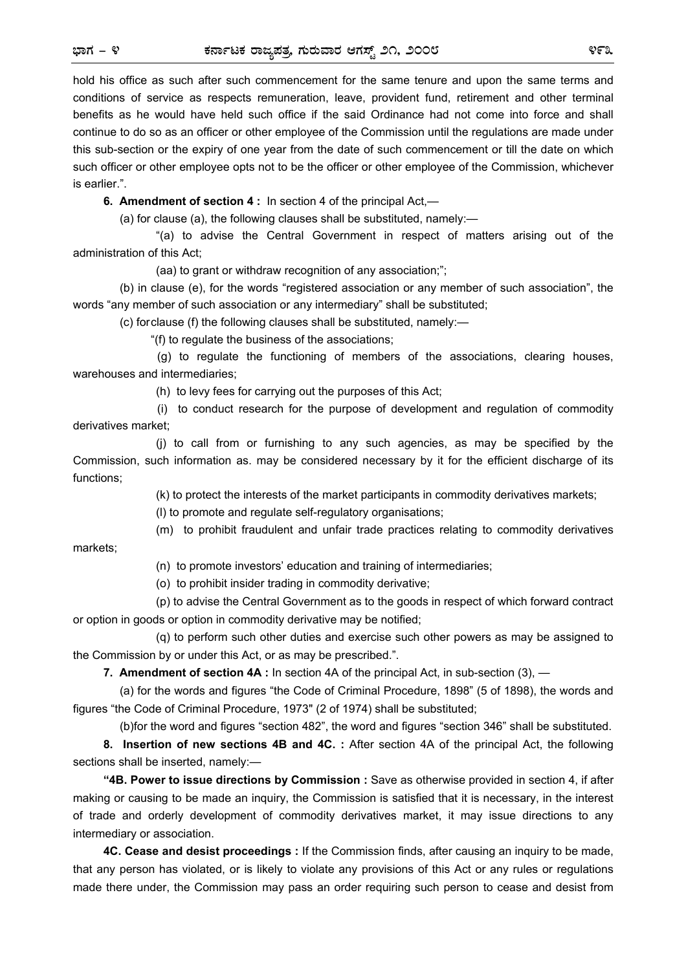hold his office as such after such commencement for the same tenure and upon the same terms and conditions of service as respects remuneration, leave, provident fund, retirement and other terminal benefits as he would have held such office if the said Ordinance had not come into force and shall continue to do so as an officer or other employee of the Commission until the regulations are made under this sub-section or the expiry of one year from the date of such commencement or till the date on which such officer or other employee opts not to be the officer or other employee of the Commission, whichever is earlier.".

**6. Amendment of section 4 :** In section 4 of the principal Act,—

(a) for clause (a), the following clauses shall be substituted, namely:—

 "(a) to advise the Central Government in respect of matters arising out of the administration of this Act;

(aa) to grant or withdraw recognition of any association;";

 (b) in clause (e), for the words "registered association or any member of such association", the words "any member of such association or any intermediary" shall be substituted;

(c) for clause (f) the following clauses shall be substituted, namely:—

"(f) to regulate the business of the associations;

 (g) to regulate the functioning of members of the associations, clearing houses, warehouses and intermediaries;

(h) to levy fees for carrying out the purposes of this Act;

 (i) to conduct research for the purpose of development and regulation of commodity derivatives market;

 (j) to call from or furnishing to any such agencies, as may be specified by the Commission, such information as. may be considered necessary by it for the efficient discharge of its functions;

(k) to protect the interests of the market participants in commodity derivatives markets;

(l) to promote and regulate self-regulatory organisations;

(m) to prohibit fraudulent and unfair trade practices relating to commodity derivatives

markets;

(n) to promote investors' education and training of intermediaries;

(o) to prohibit insider trading in commodity derivative;

 (p) to advise the Central Government as to the goods in respect of which forward contract or option in goods or option in commodity derivative may be notified;

 (q) to perform such other duties and exercise such other powers as may be assigned to the Commission by or under this Act, or as may be prescribed.".

**7. Amendment of section 4A :** In section 4A of the principal Act, in sub-section (3), —

(a) for the words and figures "the Code of Criminal Procedure, 1898" (5 of 1898), the words and figures "the Code of Criminal Procedure, 1973" (2 of 1974) shall be substituted;

(b)for the word and figures "section 482", the word and figures "section 346" shall be substituted.

**8. Insertion of new sections 4B and 4C. :** After section 4A of the principal Act, the following sections shall be inserted, namely:-

**"4B. Power to issue directions by Commission :** Save as otherwise provided in section 4, if after making or causing to be made an inquiry, the Commission is satisfied that it is necessary, in the interest of trade and orderly development of commodity derivatives market, it may issue directions to any intermediary or association.

**4C. Cease and desist proceedings :** If the Commission finds, after causing an inquiry to be made, that any person has violated, or is likely to violate any provisions of this Act or any rules or regulations made there under, the Commission may pass an order requiring such person to cease and desist from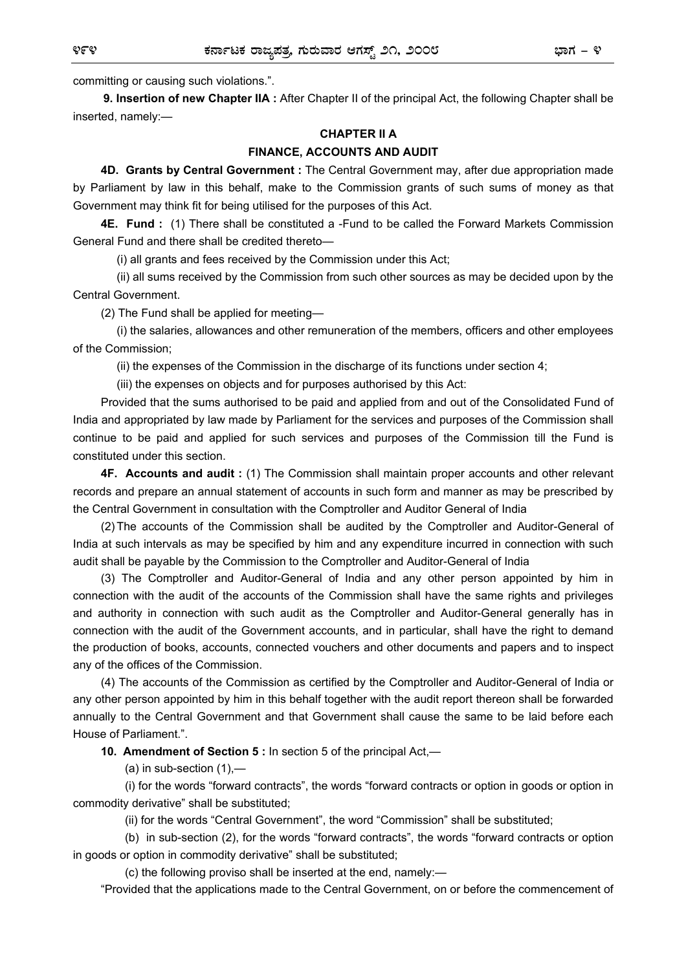committing or causing such violations.".

**9. Insertion of new Chapter IIA :** After Chapter II of the principal Act, the following Chapter shall be inserted, namely:—

## **CHAPTER II A FINANCE, ACCOUNTS AND AUDIT**

**4D. Grants by Central Government :** The Central Government may, after due appropriation made by Parliament by law in this behalf, make to the Commission grants of such sums of money as that Government may think fit for being utilised for the purposes of this Act.

**4E. Fund :** (1) There shall be constituted a -Fund to be called the Forward Markets Commission General Fund and there shall be credited thereto—

(i) all grants and fees received by the Commission under this Act;

 (ii) all sums received by the Commission from such other sources as may be decided upon by the Central Government.

(2) The Fund shall be applied for meeting—

 (i) the salaries, allowances and other remuneration of the members, officers and other employees of the Commission;

(ii) the expenses of the Commission in the discharge of its functions under section 4;

(iii) the expenses on objects and for purposes authorised by this Act:

Provided that the sums authorised to be paid and applied from and out of the Consolidated Fund of India and appropriated by law made by Parliament for the services and purposes of the Commission shall continue to be paid and applied for such services and purposes of the Commission till the Fund is constituted under this section.

**4F. Accounts and audit :** (1) The Commission shall maintain proper accounts and other relevant records and prepare an annual statement of accounts in such form and manner as may be prescribed by the Central Government in consultation with the Comptroller and Auditor General of India

(2) The accounts of the Commission shall be audited by the Comptroller and Auditor-General of India at such intervals as may be specified by him and any expenditure incurred in connection with such audit shall be payable by the Commission to the Comptroller and Auditor-General of India

(3) The Comptroller and Auditor-General of India and any other person appointed by him in connection with the audit of the accounts of the Commission shall have the same rights and privileges and authority in connection with such audit as the Comptroller and Auditor-General generally has in connection with the audit of the Government accounts, and in particular, shall have the right to demand the production of books, accounts, connected vouchers and other documents and papers and to inspect any of the offices of the Commission.

(4) The accounts of the Commission as certified by the Comptroller and Auditor-General of India or any other person appointed by him in this behalf together with the audit report thereon shall be forwarded annually to the Central Government and that Government shall cause the same to be laid before each House of Parliament.".

**10. Amendment of Section 5 :** In section 5 of the principal Act,—

 $(a)$  in sub-section  $(1)$ ,—

 (i) for the words "forward contracts", the words "forward contracts or option in goods or option in commodity derivative" shall be substituted;

(ii) for the words "Central Government", the word "Commission" shall be substituted;

 (b) in sub-section (2), for the words "forward contracts", the words "forward contracts or option in goods or option in commodity derivative" shall be substituted;

(c) the following proviso shall be inserted at the end, namely:—

"Provided that the applications made to the Central Government, on or before the commencement of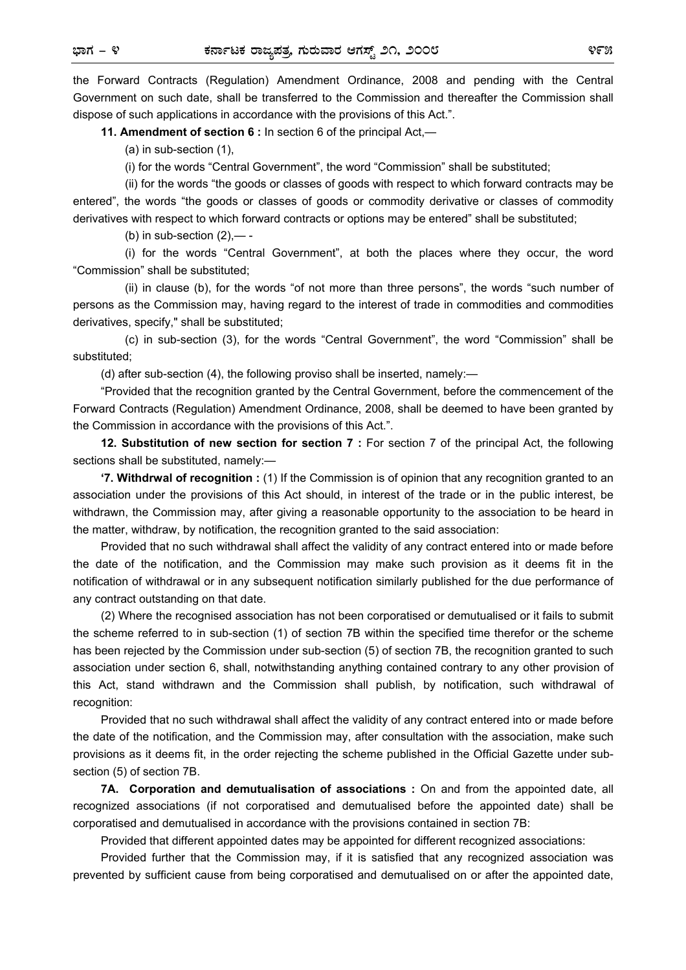the Forward Contracts (Regulation) Amendment Ordinance, 2008 and pending with the Central Government on such date, shall be transferred to the Commission and thereafter the Commission shall dispose of such applications in accordance with the provisions of this Act.".

**11. Amendment of section 6 :** In section 6 of the principal Act,—

(a) in sub-section (1),

(i) for the words "Central Government", the word "Commission" shall be substituted;

 (ii) for the words "the goods or classes of goods with respect to which forward contracts may be entered", the words "the goods or classes of goods or commodity derivative or classes of commodity derivatives with respect to which forward contracts or options may be entered" shall be substituted;

(b) in sub-section  $(2)$ ,— -

 (i) for the words "Central Government", at both the places where they occur, the word "Commission" shall be substituted;

 (ii) in clause (b), for the words "of not more than three persons", the words "such number of persons as the Commission may, having regard to the interest of trade in commodities and commodities derivatives, specify," shall be substituted;

 (c) in sub-section (3), for the words "Central Government", the word "Commission" shall be substituted;

(d) after sub-section (4), the following proviso shall be inserted, namely:—

"Provided that the recognition granted by the Central Government, before the commencement of the Forward Contracts (Regulation) Amendment Ordinance, 2008, shall be deemed to have been granted by the Commission in accordance with the provisions of this Act.".

**12. Substitution of new section for section 7 :** For section 7 of the principal Act, the following sections shall be substituted, namely:-

**'7. Withdrwal of recognition :** (1) If the Commission is of opinion that any recognition granted to an association under the provisions of this Act should, in interest of the trade or in the public interest, be withdrawn, the Commission may, after giving a reasonable opportunity to the association to be heard in the matter, withdraw, by notification, the recognition granted to the said association:

Provided that no such withdrawal shall affect the validity of any contract entered into or made before the date of the notification, and the Commission may make such provision as it deems fit in the notification of withdrawal or in any subsequent notification similarly published for the due performance of any contract outstanding on that date.

(2) Where the recognised association has not been corporatised or demutualised or it fails to submit the scheme referred to in sub-section (1) of section 7B within the specified time therefor or the scheme has been rejected by the Commission under sub-section (5) of section 7B, the recognition granted to such association under section 6, shall, notwithstanding anything contained contrary to any other provision of this Act, stand withdrawn and the Commission shall publish, by notification, such withdrawal of recognition:

Provided that no such withdrawal shall affect the validity of any contract entered into or made before the date of the notification, and the Commission may, after consultation with the association, make such provisions as it deems fit, in the order rejecting the scheme published in the Official Gazette under subsection (5) of section 7B.

**7A. Corporation and demutualisation of associations :** On and from the appointed date, all recognized associations (if not corporatised and demutualised before the appointed date) shall be corporatised and demutualised in accordance with the provisions contained in section 7B:

Provided that different appointed dates may be appointed for different recognized associations:

Provided further that the Commission may, if it is satisfied that any recognized association was prevented by sufficient cause from being corporatised and demutualised on or after the appointed date,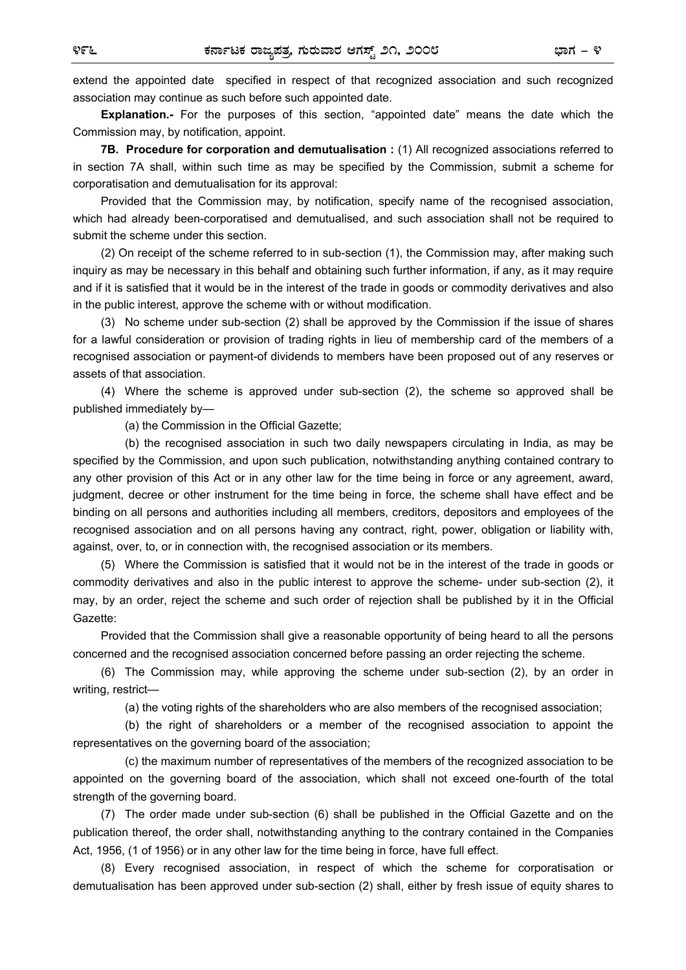extend the appointed date specified in respect of that recognized association and such recognized association may continue as such before such appointed date.

**Explanation.-** For the purposes of this section, "appointed date" means the date which the Commission may, by notification, appoint.

**7B. Procedure for corporation and demutualisation :** (1) All recognized associations referred to in section 7A shall, within such time as may be specified by the Commission, submit a scheme for corporatisation and demutualisation for its approval:

Provided that the Commission may, by notification, specify name of the recognised association, which had already been-corporatised and demutualised, and such association shall not be required to submit the scheme under this section.

(2) On receipt of the scheme referred to in sub-section (1), the Commission may, after making such inquiry as may be necessary in this behalf and obtaining such further information, if any, as it may require and if it is satisfied that it would be in the interest of the trade in goods or commodity derivatives and also in the public interest, approve the scheme with or without modification.

(3) No scheme under sub-section (2) shall be approved by the Commission if the issue of shares for a lawful consideration or provision of trading rights in lieu of membership card of the members of a recognised association or payment-of dividends to members have been proposed out of any reserves or assets of that association.

(4) Where the scheme is approved under sub-section (2), the scheme so approved shall be published immediately by—

(a) the Commission in the Official Gazette;

 (b) the recognised association in such two daily newspapers circulating in India, as may be specified by the Commission, and upon such publication, notwithstanding anything contained contrary to any other provision of this Act or in any other law for the time being in force or any agreement, award, judgment, decree or other instrument for the time being in force, the scheme shall have effect and be binding on all persons and authorities including all members, creditors, depositors and employees of the recognised association and on all persons having any contract, right, power, obligation or liability with, against, over, to, or in connection with, the recognised association or its members.

(5) Where the Commission is satisfied that it would not be in the interest of the trade in goods or commodity derivatives and also in the public interest to approve the scheme- under sub-section (2), it may, by an order, reject the scheme and such order of rejection shall be published by it in the Official Gazette:

Provided that the Commission shall give a reasonable opportunity of being heard to all the persons concerned and the recognised association concerned before passing an order rejecting the scheme.

(6) The Commission may, while approving the scheme under sub-section (2), by an order in writing, restrict—

(a) the voting rights of the shareholders who are also members of the recognised association;

 (b) the right of shareholders or a member of the recognised association to appoint the representatives on the governing board of the association;

(c) the maximum number of representatives of the members of the recognized association to be appointed on the governing board of the association, which shall not exceed one-fourth of the total strength of the governing board.

(7) The order made under sub-section (6) shall be published in the Official Gazette and on the publication thereof, the order shall, notwithstanding anything to the contrary contained in the Companies Act, 1956, (1 of 1956) or in any other law for the time being in force, have full effect.

(8) Every recognised association, in respect of which the scheme for corporatisation or demutualisation has been approved under sub-section (2) shall, either by fresh issue of equity shares to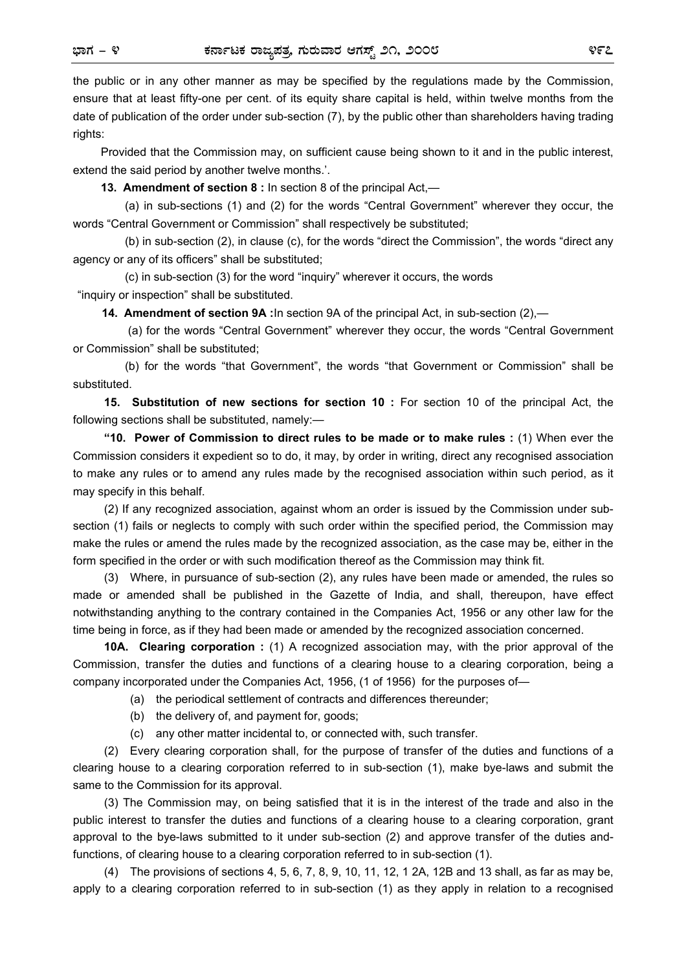the public or in any other manner as may be specified by the regulations made by the Commission, ensure that at least fifty-one per cent. of its equity share capital is held, within twelve months from the date of publication of the order under sub-section (7), by the public other than shareholders having trading rights:

Provided that the Commission may, on sufficient cause being shown to it and in the public interest, extend the said period by another twelve months.'.

**13. Amendment of section 8 :** In section 8 of the principal Act,—

 (a) in sub-sections (1) and (2) for the words "Central Government" wherever they occur, the words "Central Government or Commission" shall respectively be substituted;

 (b) in sub-section (2), in clause (c), for the words "direct the Commission", the words "direct any agency or any of its officers" shall be substituted;

 (c) in sub-section (3) for the word "inquiry" wherever it occurs, the words "inquiry or inspection" shall be substituted.

**14. Amendment of section 9A :** In section 9A of the principal Act, in sub-section (2),—

 (a) for the words "Central Government" wherever they occur, the words "Central Government or Commission" shall be substituted;

 (b) for the words "that Government", the words "that Government or Commission" shall be substituted.

 **15. Substitution of new sections for section 10 :** For section 10 of the principal Act, the following sections shall be substituted, namely:—

 **"10. Power of Commission to direct rules to be made or to make rules :** (1) When ever the Commission considers it expedient so to do, it may, by order in writing, direct any recognised association to make any rules or to amend any rules made by the recognised association within such period, as it may specify in this behalf.

 (2) If any recognized association, against whom an order is issued by the Commission under subsection (1) fails or neglects to comply with such order within the specified period, the Commission may make the rules or amend the rules made by the recognized association, as the case may be, either in the form specified in the order or with such modification thereof as the Commission may think fit.

 (3) Where, in pursuance of sub-section (2), any rules have been made or amended, the rules so made or amended shall be published in the Gazette of India, and shall, thereupon, have effect notwithstanding anything to the contrary contained in the Companies Act, 1956 or any other law for the time being in force, as if they had been made or amended by the recognized association concerned.

 **10A. Clearing corporation :** (1) A recognized association may, with the prior approval of the Commission, transfer the duties and functions of a clearing house to a clearing corporation, being a company incorporated under the Companies Act, 1956, (1 of 1956) for the purposes of—

(a) the periodical settlement of contracts and differences thereunder;

- (b) the delivery of, and payment for, goods;
- (c) any other matter incidental to, or connected with, such transfer.

 (2) Every clearing corporation shall, for the purpose of transfer of the duties and functions of a clearing house to a clearing corporation referred to in sub-section (1), make bye-laws and submit the same to the Commission for its approval.

 (3) The Commission may, on being satisfied that it is in the interest of the trade and also in the public interest to transfer the duties and functions of a clearing house to a clearing corporation, grant approval to the bye-laws submitted to it under sub-section (2) and approve transfer of the duties andfunctions, of clearing house to a clearing corporation referred to in sub-section (1).

 (4) The provisions of sections 4, 5, 6, 7, 8, 9, 10, 11, 12, 1 2A, 12B and 13 shall, as far as may be, apply to a clearing corporation referred to in sub-section (1) as they apply in relation to a recognised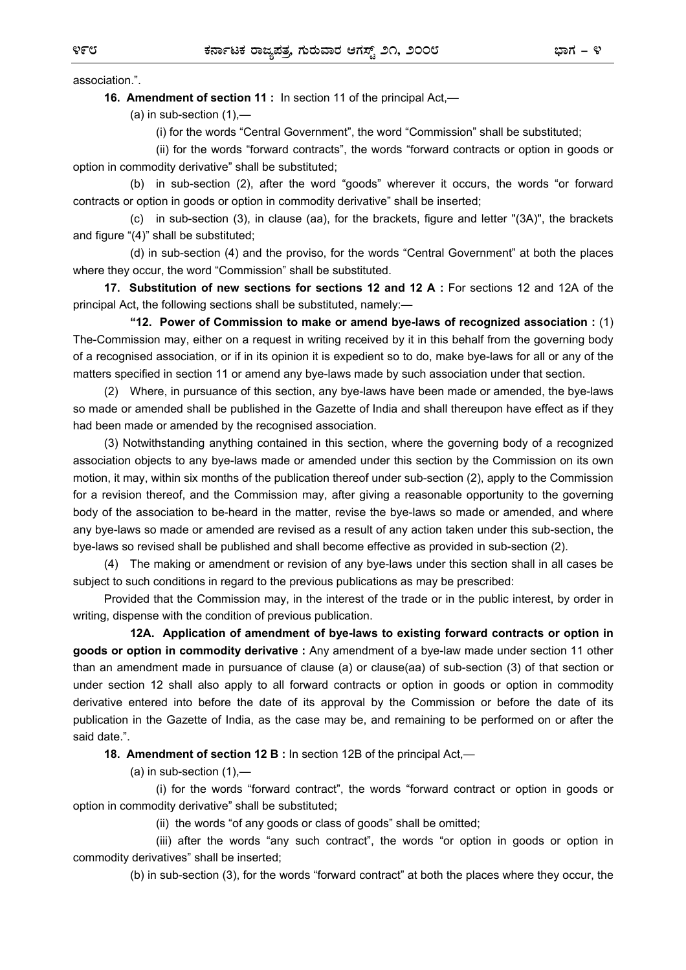association.".

 **16. Amendment of section 11 :** In section 11 of the principal Act,—

 $(a)$  in sub-section  $(1)$ ,—

(i) for the words "Central Government", the word "Commission" shall be substituted;

 (ii) for the words "forward contracts", the words "forward contracts or option in goods or option in commodity derivative" shall be substituted;

 (b) in sub-section (2), after the word "goods" wherever it occurs, the words "or forward contracts or option in goods or option in commodity derivative" shall be inserted;

 (c) in sub-section (3), in clause (aa), for the brackets, figure and letter "(3A)", the brackets and figure "(4)" shall be substituted;

 (d) in sub-section (4) and the proviso, for the words "Central Government" at both the places where they occur, the word "Commission" shall be substituted.

 **17. Substitution of new sections for sections 12 and 12 A :** For sections 12 and 12A of the principal Act, the following sections shall be substituted, namely:—

 **"12. Power of Commission to make or amend bye-laws of recognized association :** (1) The-Commission may, either on a request in writing received by it in this behalf from the governing body of a recognised association, or if in its opinion it is expedient so to do, make bye-laws for all or any of the matters specified in section 11 or amend any bye-laws made by such association under that section.

 (2) Where, in pursuance of this section, any bye-laws have been made or amended, the bye-laws so made or amended shall be published in the Gazette of India and shall thereupon have effect as if they had been made or amended by the recognised association.

 (3) Notwithstanding anything contained in this section, where the governing body of a recognized association objects to any bye-laws made or amended under this section by the Commission on its own motion, it may, within six months of the publication thereof under sub-section (2), apply to the Commission for a revision thereof, and the Commission may, after giving a reasonable opportunity to the governing body of the association to be-heard in the matter, revise the bye-laws so made or amended, and where any bye-laws so made or amended are revised as a result of any action taken under this sub-section, the bye-laws so revised shall be published and shall become effective as provided in sub-section (2).

 (4) The making or amendment or revision of any bye-laws under this section shall in all cases be subject to such conditions in regard to the previous publications as may be prescribed:

 Provided that the Commission may, in the interest of the trade or in the public interest, by order in writing, dispense with the condition of previous publication.

 **12A. Application of amendment of bye-laws to existing forward contracts or option in goods or option in commodity derivative :** Any amendment of a bye-law made under section 11 other than an amendment made in pursuance of clause (a) or clause(aa) of sub-section (3) of that section or under section 12 shall also apply to all forward contracts or option in goods or option in commodity derivative entered into before the date of its approval by the Commission or before the date of its publication in the Gazette of India, as the case may be, and remaining to be performed on or after the said date.".

 **18. Amendment of section 12 B :** In section 12B of the principal Act,—

 $(a)$  in sub-section  $(1)$ ,—

 (i) for the words "forward contract", the words "forward contract or option in goods or option in commodity derivative" shall be substituted;

(ii) the words "of any goods or class of goods" shall be omitted;

 (iii) after the words "any such contract", the words "or option in goods or option in commodity derivatives" shall be inserted;

(b) in sub-section (3), for the words "forward contract" at both the places where they occur, the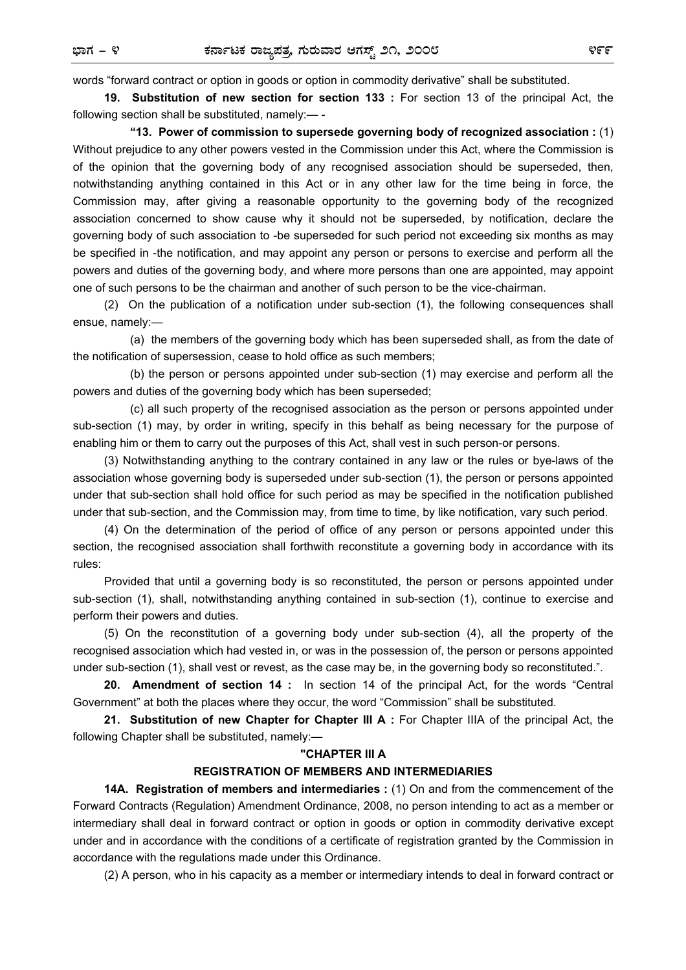words "forward contract or option in goods or option in commodity derivative" shall be substituted.

 **19. Substitution of new section for section 133 :** For section 13 of the principal Act, the following section shall be substituted, namely:— -

 **"13. Power of commission to supersede governing body of recognized association :** (1) Without prejudice to any other powers vested in the Commission under this Act, where the Commission is of the opinion that the governing body of any recognised association should be superseded, then, notwithstanding anything contained in this Act or in any other law for the time being in force, the Commission may, after giving a reasonable opportunity to the governing body of the recognized association concerned to show cause why it should not be superseded, by notification, declare the governing body of such association to -be superseded for such period not exceeding six months as may be specified in -the notification, and may appoint any person or persons to exercise and perform all the powers and duties of the governing body, and where more persons than one are appointed, may appoint one of such persons to be the chairman and another of such person to be the vice-chairman.

 (2) On the publication of a notification under sub-section (1), the following consequences shall ensue, namely:—

 (a) the members of the governing body which has been superseded shall, as from the date of the notification of supersession, cease to hold office as such members;

 (b) the person or persons appointed under sub-section (1) may exercise and perform all the powers and duties of the governing body which has been superseded;

 (c) all such property of the recognised association as the person or persons appointed under sub-section (1) may, by order in writing, specify in this behalf as being necessary for the purpose of enabling him or them to carry out the purposes of this Act, shall vest in such person-or persons.

 (3) Notwithstanding anything to the contrary contained in any law or the rules or bye-laws of the association whose governing body is superseded under sub-section (1), the person or persons appointed under that sub-section shall hold office for such period as may be specified in the notification published under that sub-section, and the Commission may, from time to time, by like notification, vary such period.

 (4) On the determination of the period of office of any person or persons appointed under this section, the recognised association shall forthwith reconstitute a governing body in accordance with its rules:

 Provided that until a governing body is so reconstituted, the person or persons appointed under sub-section (1), shall, notwithstanding anything contained in sub-section (1), continue to exercise and perform their powers and duties.

 (5) On the reconstitution of a governing body under sub-section (4), all the property of the recognised association which had vested in, or was in the possession of, the person or persons appointed under sub-section (1), shall vest or revest, as the case may be, in the governing body so reconstituted.".

 **20. Amendment of section 14 :** In section 14 of the principal Act, for the words "Central Government" at both the places where they occur, the word "Commission" shall be substituted.

 **21. Substitution of new Chapter for Chapter III A :** For Chapter IIIA of the principal Act, the following Chapter shall be substituted, namely:—

#### **"CHAPTER III A**

#### **REGISTRATION OF MEMBERS AND INTERMEDIARIES**

 **14A. Registration of members and intermediaries :** (1) On and from the commencement of the Forward Contracts (Regulation) Amendment Ordinance, 2008, no person intending to act as a member or intermediary shall deal in forward contract or option in goods or option in commodity derivative except under and in accordance with the conditions of a certificate of registration granted by the Commission in accordance with the regulations made under this Ordinance.

(2) A person, who in his capacity as a member or intermediary intends to deal in forward contract or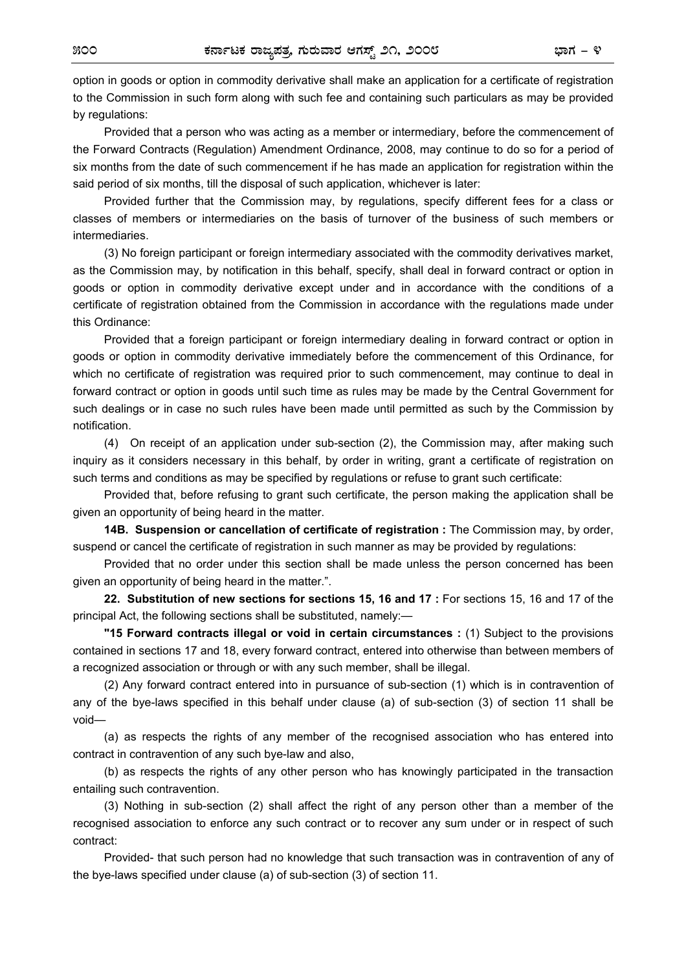option in goods or option in commodity derivative shall make an application for a certificate of registration to the Commission in such form along with such fee and containing such particulars as may be provided by regulations:

 Provided that a person who was acting as a member or intermediary, before the commencement of the Forward Contracts (Regulation) Amendment Ordinance, 2008, may continue to do so for a period of six months from the date of such commencement if he has made an application for registration within the said period of six months, till the disposal of such application, whichever is later:

 Provided further that the Commission may, by regulations, specify different fees for a class or classes of members or intermediaries on the basis of turnover of the business of such members or intermediaries.

 (3) No foreign participant or foreign intermediary associated with the commodity derivatives market, as the Commission may, by notification in this behalf, specify, shall deal in forward contract or option in goods or option in commodity derivative except under and in accordance with the conditions of a certificate of registration obtained from the Commission in accordance with the regulations made under this Ordinance:

 Provided that a foreign participant or foreign intermediary dealing in forward contract or option in goods or option in commodity derivative immediately before the commencement of this Ordinance, for which no certificate of registration was required prior to such commencement, may continue to deal in forward contract or option in goods until such time as rules may be made by the Central Government for such dealings or in case no such rules have been made until permitted as such by the Commission by notification.

(4) On receipt of an application under sub-section (2), the Commission may, after making such inquiry as it considers necessary in this behalf, by order in writing, grant a certificate of registration on such terms and conditions as may be specified by regulations or refuse to grant such certificate:

 Provided that, before refusing to grant such certificate, the person making the application shall be given an opportunity of being heard in the matter.

 **14B. Suspension or cancellation of certificate of registration :** The Commission may, by order, suspend or cancel the certificate of registration in such manner as may be provided by regulations:

 Provided that no order under this section shall be made unless the person concerned has been given an opportunity of being heard in the matter.".

 **22. Substitution of new sections for sections 15, 16 and 17 :** For sections 15, 16 and 17 of the principal Act, the following sections shall be substituted, namely:—

 **"15 Forward contracts illegal or void in certain circumstances :** (1) Subject to the provisions contained in sections 17 and 18, every forward contract, entered into otherwise than between members of a recognized association or through or with any such member, shall be illegal.

 (2) Any forward contract entered into in pursuance of sub-section (1) which is in contravention of any of the bye-laws specified in this behalf under clause (a) of sub-section (3) of section 11 shall be void—

 (a) as respects the rights of any member of the recognised association who has entered into contract in contravention of any such bye-law and also,

 (b) as respects the rights of any other person who has knowingly participated in the transaction entailing such contravention.

 (3) Nothing in sub-section (2) shall affect the right of any person other than a member of the recognised association to enforce any such contract or to recover any sum under or in respect of such contract:

 Provided- that such person had no knowledge that such transaction was in contravention of any of the bye-laws specified under clause (a) of sub-section (3) of section 11.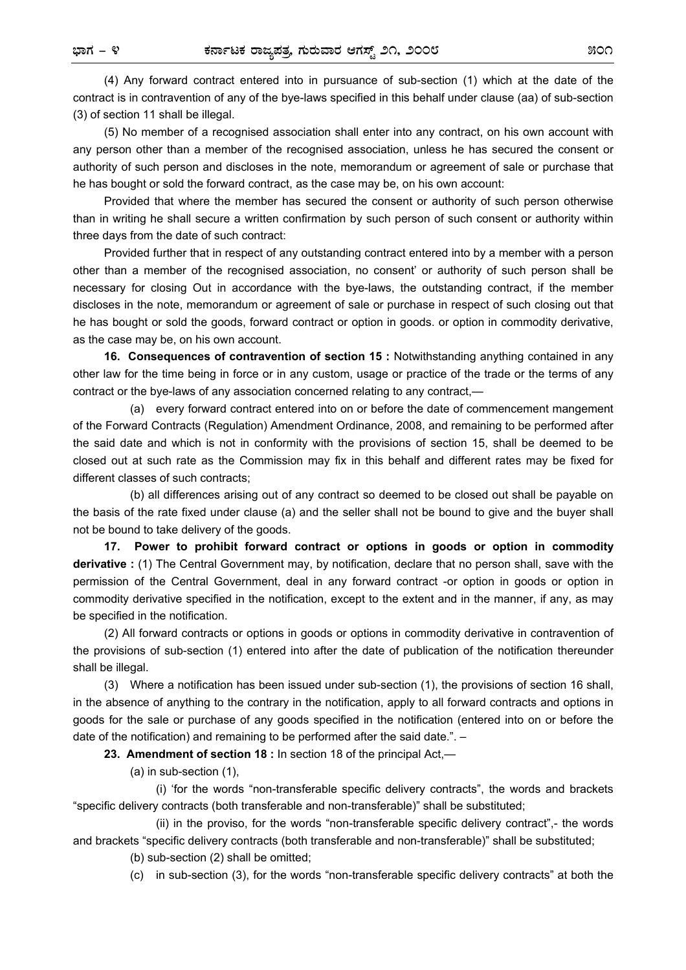(4) Any forward contract entered into in pursuance of sub-section (1) which at the date of the contract is in contravention of any of the bye-laws specified in this behalf under clause (aa) of sub-section (3) of section 11 shall be illegal.

 (5) No member of a recognised association shall enter into any contract, on his own account with any person other than a member of the recognised association, unless he has secured the consent or authority of such person and discloses in the note, memorandum or agreement of sale or purchase that he has bought or sold the forward contract, as the case may be, on his own account:

 Provided that where the member has secured the consent or authority of such person otherwise than in writing he shall secure a written confirmation by such person of such consent or authority within three days from the date of such contract:

 Provided further that in respect of any outstanding contract entered into by a member with a person other than a member of the recognised association, no consent' or authority of such person shall be necessary for closing Out in accordance with the bye-laws, the outstanding contract, if the member discloses in the note, memorandum or agreement of sale or purchase in respect of such closing out that he has bought or sold the goods, forward contract or option in goods. or option in commodity derivative, as the case may be, on his own account.

 **16. Consequences of contravention of section 15 :** Notwithstanding anything contained in any other law for the time being in force or in any custom, usage or practice of the trade or the terms of any contract or the bye-laws of any association concerned relating to any contract,—

(a) every forward contract entered into on or before the date of commencement mangement of the Forward Contracts (Regulation) Amendment Ordinance, 2008, and remaining to be performed after the said date and which is not in conformity with the provisions of section 15, shall be deemed to be closed out at such rate as the Commission may fix in this behalf and different rates may be fixed for different classes of such contracts;

 (b) all differences arising out of any contract so deemed to be closed out shall be payable on the basis of the rate fixed under clause (a) and the seller shall not be bound to give and the buyer shall not be bound to take delivery of the goods.

 **17. Power to prohibit forward contract or options in goods or option in commodity derivative :** (1) The Central Government may, by notification, declare that no person shall, save with the permission of the Central Government, deal in any forward contract -or option in goods or option in commodity derivative specified in the notification, except to the extent and in the manner, if any, as may be specified in the notification.

(2) All forward contracts or options in goods or options in commodity derivative in contravention of the provisions of sub-section (1) entered into after the date of publication of the notification thereunder shall be illegal.

 (3) Where a notification has been issued under sub-section (1), the provisions of section 16 shall, in the absence of anything to the contrary in the notification, apply to all forward contracts and options in goods for the sale or purchase of any goods specified in the notification (entered into on or before the date of the notification) and remaining to be performed after the said date.". –

 **23. Amendment of section 18 :** In section 18 of the principal Act,—

(a) in sub-section (1),

 (i) 'for the words "non-transferable specific delivery contracts", the words and brackets "specific delivery contracts (both transferable and non-transferable)" shall be substituted;

 (ii) in the proviso, for the words "non-transferable specific delivery contract",- the words and brackets "specific delivery contracts (both transferable and non-transferable)" shall be substituted;

(b) sub-section (2) shall be omitted;

(c) in sub-section (3), for the words "non-transferable specific delivery contracts" at both the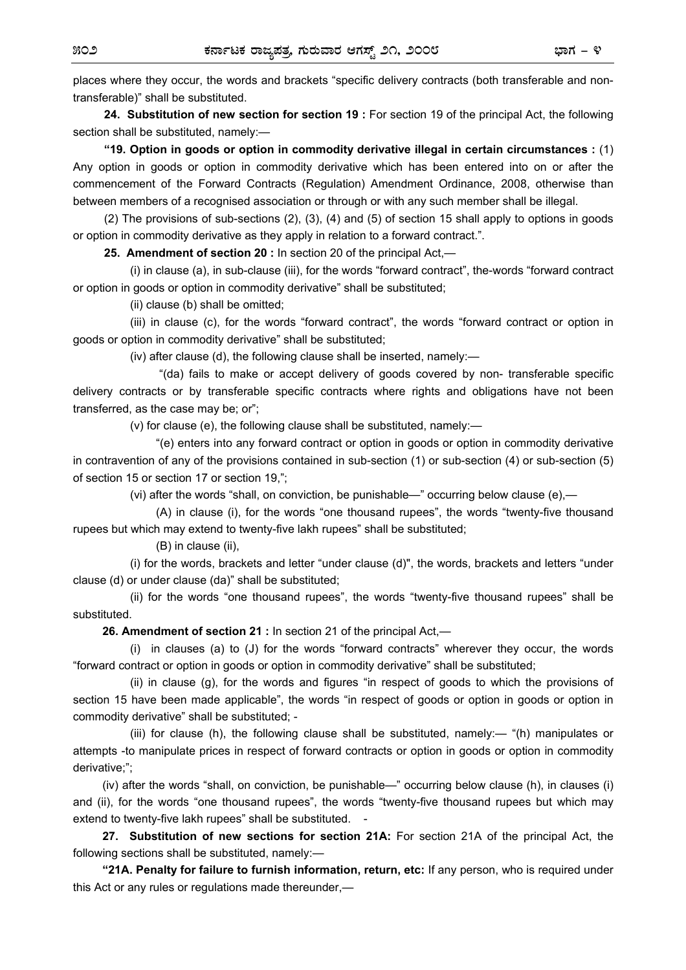places where they occur, the words and brackets "specific delivery contracts (both transferable and nontransferable)" shall be substituted.

 **24. Substitution of new section for section 19 :** For section 19 of the principal Act, the following section shall be substituted, namely:—

 **"19. Option in goods or option in commodity derivative illegal in certain circumstances :** (1) Any option in goods or option in commodity derivative which has been entered into on or after the commencement of the Forward Contracts (Regulation) Amendment Ordinance, 2008, otherwise than between members of a recognised association or through or with any such member shall be illegal.

 (2) The provisions of sub-sections (2), (3), (4) and (5) of section 15 shall apply to options in goods or option in commodity derivative as they apply in relation to a forward contract.".

 **25. Amendment of section 20 :** In section 20 of the principal Act,—

(i) in clause (a), in sub-clause (iii), for the words "forward contract", the-words "forward contract or option in goods or option in commodity derivative" shall be substituted;

(ii) clause (b) shall be omitted;

 (iii) in clause (c), for the words "forward contract", the words "forward contract or option in goods or option in commodity derivative" shall be substituted;

(iv) after clause (d), the following clause shall be inserted, namely:—

 "(da) fails to make or accept delivery of goods covered by non- transferable specific delivery contracts or by transferable specific contracts where rights and obligations have not been transferred, as the case may be; or";

(v) for clause (e), the following clause shall be substituted, namely:—

 "(e) enters into any forward contract or option in goods or option in commodity derivative in contravention of any of the provisions contained in sub-section (1) or sub-section (4) or sub-section (5) of section 15 or section 17 or section 19,";

(vi) after the words "shall, on conviction, be punishable—" occurring below clause (e),—

 (A) in clause (i), for the words "one thousand rupees", the words "twenty-five thousand rupees but which may extend to twenty-five lakh rupees" shall be substituted;

(B) in clause (ii),

 (i) for the words, brackets and letter "under clause (d)", the words, brackets and letters "under clause (d) or under clause (da)" shall be substituted;

 (ii) for the words "one thousand rupees", the words "twenty-five thousand rupees" shall be substituted.

**26. Amendment of section 21 :** In section 21 of the principal Act,—

 (i) in clauses (a) to (J) for the words "forward contracts" wherever they occur, the words "forward contract or option in goods or option in commodity derivative" shall be substituted;

 (ii) in clause (g), for the words and figures "in respect of goods to which the provisions of section 15 have been made applicable", the words "in respect of goods or option in goods or option in commodity derivative" shall be substituted; -

 (iii) for clause (h), the following clause shall be substituted, namely:— "(h) manipulates or attempts -to manipulate prices in respect of forward contracts or option in goods or option in commodity derivative;";

 (iv) after the words "shall, on conviction, be punishable—" occurring below clause (h), in clauses (i) and (ii), for the words "one thousand rupees", the words "twenty-five thousand rupees but which may extend to twenty-five lakh rupees" shall be substituted. -

 **27. Substitution of new sections for section 21A:** For section 21A of the principal Act, the following sections shall be substituted, namely:—

**"21A. Penalty for failure to furnish information, return, etc:** If any person, who is required under this Act or any rules or regulations made thereunder,—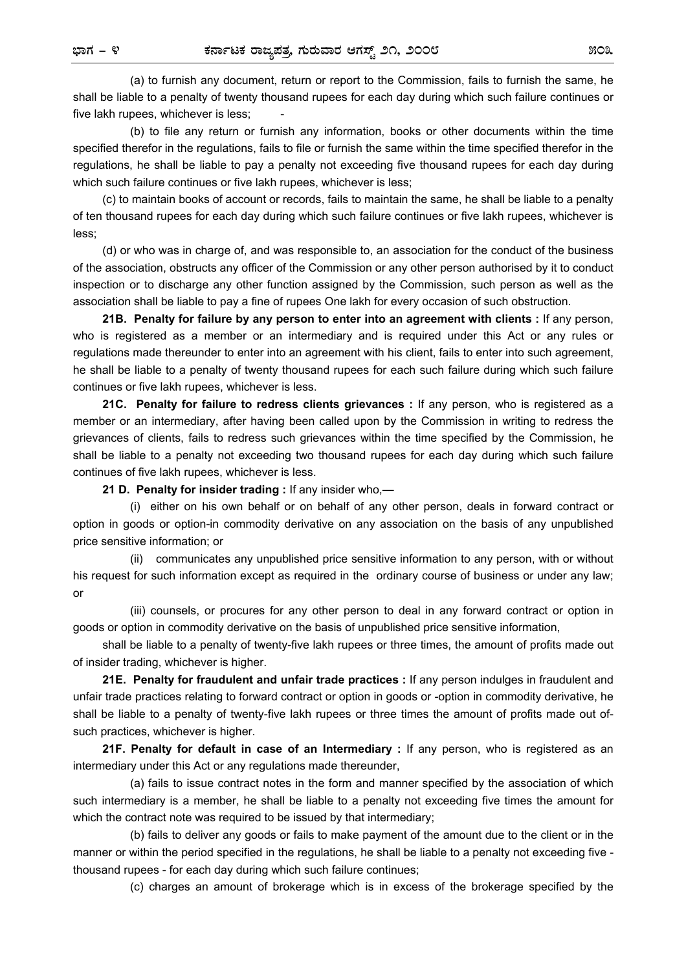(a) to furnish any document, return or report to the Commission, fails to furnish the same, he shall be liable to a penalty of twenty thousand rupees for each day during which such failure continues or five lakh rupees, whichever is less;

 (b) to file any return or furnish any information, books or other documents within the time specified therefor in the regulations, fails to file or furnish the same within the time specified therefor in the regulations, he shall be liable to pay a penalty not exceeding five thousand rupees for each day during which such failure continues or five lakh rupees, whichever is less;

 (c) to maintain books of account or records, fails to maintain the same, he shall be liable to a penalty of ten thousand rupees for each day during which such failure continues or five lakh rupees, whichever is less;

 (d) or who was in charge of, and was responsible to, an association for the conduct of the business of the association, obstructs any officer of the Commission or any other person authorised by it to conduct inspection or to discharge any other function assigned by the Commission, such person as well as the association shall be liable to pay a fine of rupees One lakh for every occasion of such obstruction.

 **21B. Penalty for failure by any person to enter into an agreement with clients :** If any person, who is registered as a member or an intermediary and is required under this Act or any rules or regulations made thereunder to enter into an agreement with his client, fails to enter into such agreement, he shall be liable to a penalty of twenty thousand rupees for each such failure during which such failure continues or five lakh rupees, whichever is less.

 **21C. Penalty for failure to redress clients grievances :** If any person, who is registered as a member or an intermediary, after having been called upon by the Commission in writing to redress the grievances of clients, fails to redress such grievances within the time specified by the Commission, he shall be liable to a penalty not exceeding two thousand rupees for each day during which such failure continues of five lakh rupees, whichever is less.

 **21 D. Penalty for insider trading :** If any insider who,—

 (i) either on his own behalf or on behalf of any other person, deals in forward contract or option in goods or option-in commodity derivative on any association on the basis of any unpublished price sensitive information; or

 (ii) communicates any unpublished price sensitive information to any person, with or without his request for such information except as required in the ordinary course of business or under any law; or

 (iii) counsels, or procures for any other person to deal in any forward contract or option in goods or option in commodity derivative on the basis of unpublished price sensitive information,

 shall be liable to a penalty of twenty-five lakh rupees or three times, the amount of profits made out of insider trading, whichever is higher.

 **21E. Penalty for fraudulent and unfair trade practices :** If any person indulges in fraudulent and unfair trade practices relating to forward contract or option in goods or -option in commodity derivative, he shall be liable to a penalty of twenty-five lakh rupees or three times the amount of profits made out ofsuch practices, whichever is higher.

 **21F. Penalty for default in case of an Intermediary :** If any person, who is registered as an intermediary under this Act or any regulations made thereunder,

 (a) fails to issue contract notes in the form and manner specified by the association of which such intermediary is a member, he shall be liable to a penalty not exceeding five times the amount for which the contract note was required to be issued by that intermediary:

 (b) fails to deliver any goods or fails to make payment of the amount due to the client or in the manner or within the period specified in the regulations, he shall be liable to a penalty not exceeding five thousand rupees - for each day during which such failure continues;

(c) charges an amount of brokerage which is in excess of the brokerage specified by the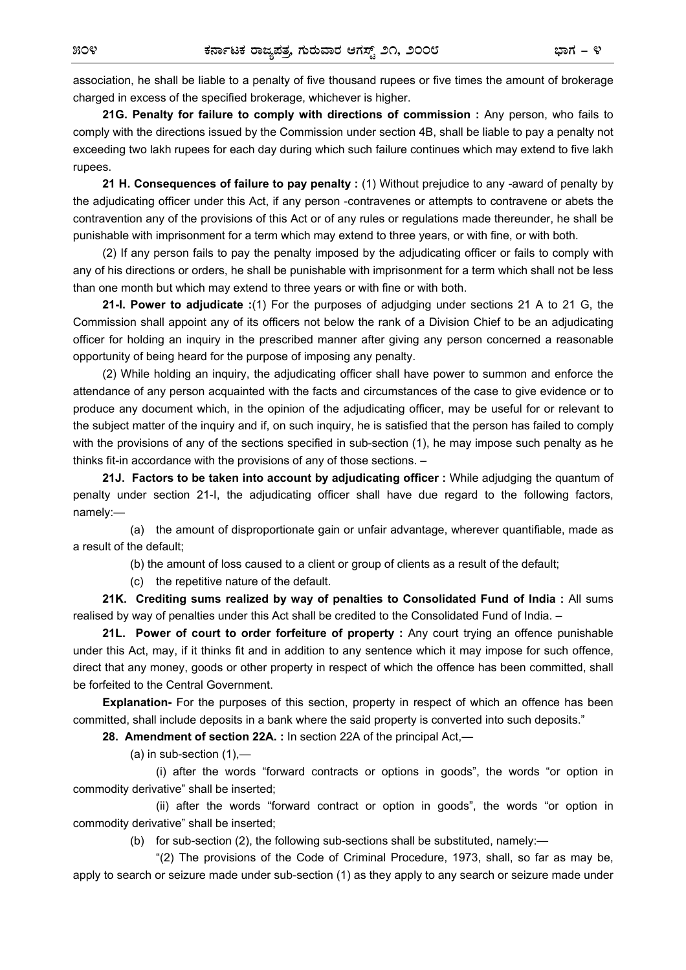association, he shall be liable to a penalty of five thousand rupees or five times the amount of brokerage charged in excess of the specified brokerage, whichever is higher.

 **21G. Penalty for failure to comply with directions of commission :** Any person, who fails to comply with the directions issued by the Commission under section 4B, shall be liable to pay a penalty not exceeding two lakh rupees for each day during which such failure continues which may extend to five lakh rupees.

 **21 H. Consequences of failure to pay penalty :** (1) Without prejudice to any -award of penalty by the adjudicating officer under this Act, if any person -contravenes or attempts to contravene or abets the contravention any of the provisions of this Act or of any rules or regulations made thereunder, he shall be punishable with imprisonment for a term which may extend to three years, or with fine, or with both.

 (2) If any person fails to pay the penalty imposed by the adjudicating officer or fails to comply with any of his directions or orders, he shall be punishable with imprisonment for a term which shall not be less than one month but which may extend to three years or with fine or with both.

 **21-I. Power to adjudicate :**(1) For the purposes of adjudging under sections 21 A to 21 G, the Commission shall appoint any of its officers not below the rank of a Division Chief to be an adjudicating officer for holding an inquiry in the prescribed manner after giving any person concerned a reasonable opportunity of being heard for the purpose of imposing any penalty.

 (2) While holding an inquiry, the adjudicating officer shall have power to summon and enforce the attendance of any person acquainted with the facts and circumstances of the case to give evidence or to produce any document which, in the opinion of the adjudicating officer, may be useful for or relevant to the subject matter of the inquiry and if, on such inquiry, he is satisfied that the person has failed to comply with the provisions of any of the sections specified in sub-section (1), he may impose such penalty as he thinks fit-in accordance with the provisions of any of those sections. –

 **21J. Factors to be taken into account by adjudicating officer :** While adjudging the quantum of penalty under section 21-I, the adjudicating officer shall have due regard to the following factors, namely:—

 (a) the amount of disproportionate gain or unfair advantage, wherever quantifiable, made as a result of the default;

(b) the amount of loss caused to a client or group of clients as a result of the default;

(c) the repetitive nature of the default.

 **21K. Crediting sums realized by way of penalties to Consolidated Fund of India :** All sums realised by way of penalties under this Act shall be credited to the Consolidated Fund of India. –

 **21L. Power of court to order forfeiture of property :** Any court trying an offence punishable under this Act, may, if it thinks fit and in addition to any sentence which it may impose for such offence, direct that any money, goods or other property in respect of which the offence has been committed, shall be forfeited to the Central Government.

**Explanation-** For the purposes of this section, property in respect of which an offence has been committed, shall include deposits in a bank where the said property is converted into such deposits."

 **28. Amendment of section 22A. :** In section 22A of the principal Act,—

(a) in sub-section  $(1)$ ,-

 (i) after the words "forward contracts or options in goods", the words "or option in commodity derivative" shall be inserted;

 (ii) after the words "forward contract or option in goods", the words "or option in commodity derivative" shall be inserted;

(b) for sub-section (2), the following sub-sections shall be substituted, namely:—

 "(2) The provisions of the Code of Criminal Procedure, 1973, shall, so far as may be, apply to search or seizure made under sub-section (1) as they apply to any search or seizure made under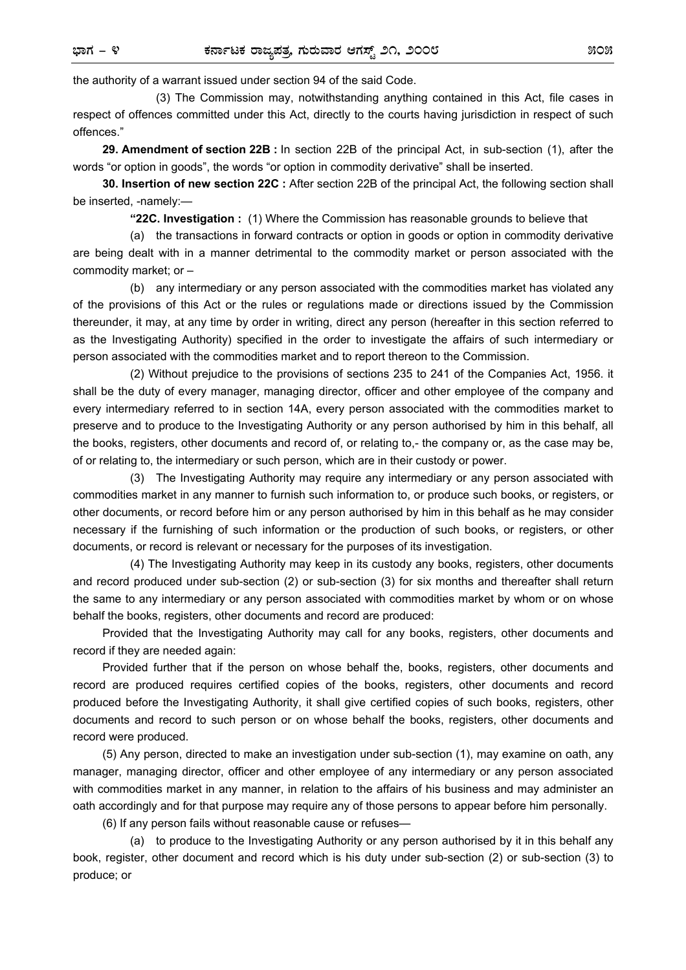the authority of a warrant issued under section 94 of the said Code.

 (3) The Commission may, notwithstanding anything contained in this Act, file cases in respect of offences committed under this Act, directly to the courts having jurisdiction in respect of such offences."

 **29. Amendment of section 22B :** In section 22B of the principal Act, in sub-section (1), after the words "or option in goods", the words "or option in commodity derivative" shall be inserted.

 **30. Insertion of new section 22C :** After section 22B of the principal Act, the following section shall be inserted, -namely:—

**"22C. Investigation :** (1) Where the Commission has reasonable grounds to believe that

 (a) the transactions in forward contracts or option in goods or option in commodity derivative are being dealt with in a manner detrimental to the commodity market or person associated with the commodity market; or –

 (b) any intermediary or any person associated with the commodities market has violated any of the provisions of this Act or the rules or regulations made or directions issued by the Commission thereunder, it may, at any time by order in writing, direct any person (hereafter in this section referred to as the Investigating Authority) specified in the order to investigate the affairs of such intermediary or person associated with the commodities market and to report thereon to the Commission.

 (2) Without prejudice to the provisions of sections 235 to 241 of the Companies Act, 1956. it shall be the duty of every manager, managing director, officer and other employee of the company and every intermediary referred to in section 14A, every person associated with the commodities market to preserve and to produce to the Investigating Authority or any person authorised by him in this behalf, all the books, registers, other documents and record of, or relating to,- the company or, as the case may be, of or relating to, the intermediary or such person, which are in their custody or power.

 (3) The Investigating Authority may require any intermediary or any person associated with commodities market in any manner to furnish such information to, or produce such books, or registers, or other documents, or record before him or any person authorised by him in this behalf as he may consider necessary if the furnishing of such information or the production of such books, or registers, or other documents, or record is relevant or necessary for the purposes of its investigation.

 (4) The Investigating Authority may keep in its custody any books, registers, other documents and record produced under sub-section (2) or sub-section (3) for six months and thereafter shall return the same to any intermediary or any person associated with commodities market by whom or on whose behalf the books, registers, other documents and record are produced:

 Provided that the Investigating Authority may call for any books, registers, other documents and record if they are needed again:

 Provided further that if the person on whose behalf the, books, registers, other documents and record are produced requires certified copies of the books, registers, other documents and record produced before the Investigating Authority, it shall give certified copies of such books, registers, other documents and record to such person or on whose behalf the books, registers, other documents and record were produced.

 (5) Any person, directed to make an investigation under sub-section (1), may examine on oath, any manager, managing director, officer and other employee of any intermediary or any person associated with commodities market in any manner, in relation to the affairs of his business and may administer an oath accordingly and for that purpose may require any of those persons to appear before him personally.

(6) If any person fails without reasonable cause or refuses—

 (a) to produce to the Investigating Authority or any person authorised by it in this behalf any book, register, other document and record which is his duty under sub-section (2) or sub-section (3) to produce; or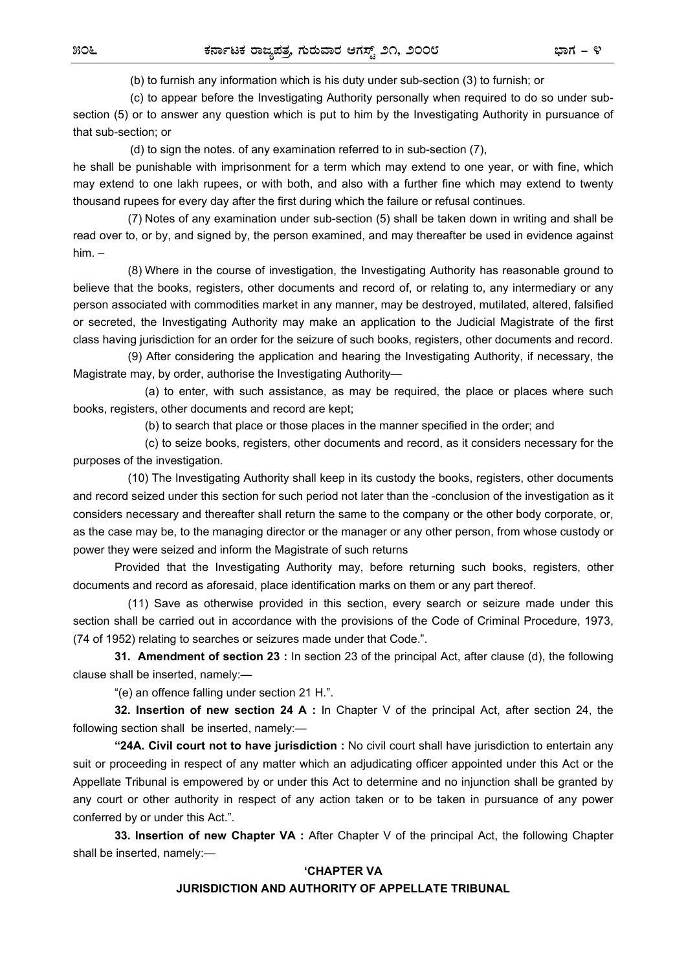(b) to furnish any information which is his duty under sub-section (3) to furnish; or

 (c) to appear before the Investigating Authority personally when required to do so under subsection (5) or to answer any question which is put to him by the Investigating Authority in pursuance of that sub-section; or

(d) to sign the notes. of any examination referred to in sub-section (7),

he shall be punishable with imprisonment for a term which may extend to one year, or with fine, which may extend to one lakh rupees, or with both, and also with a further fine which may extend to twenty thousand rupees for every day after the first during which the failure or refusal continues.

 (7) Notes of any examination under sub-section (5) shall be taken down in writing and shall be read over to, or by, and signed by, the person examined, and may thereafter be used in evidence against him. –

 (8) Where in the course of investigation, the Investigating Authority has reasonable ground to believe that the books, registers, other documents and record of, or relating to, any intermediary or any person associated with commodities market in any manner, may be destroyed, mutilated, altered, falsified or secreted, the Investigating Authority may make an application to the Judicial Magistrate of the first class having jurisdiction for an order for the seizure of such books, registers, other documents and record.

 (9) After considering the application and hearing the Investigating Authority, if necessary, the Magistrate may, by order, authorise the Investigating Authority—

 (a) to enter, with such assistance, as may be required, the place or places where such books, registers, other documents and record are kept;

(b) to search that place or those places in the manner specified in the order; and

 (c) to seize books, registers, other documents and record, as it considers necessary for the purposes of the investigation.

 (10) The Investigating Authority shall keep in its custody the books, registers, other documents and record seized under this section for such period not later than the -conclusion of the investigation as it considers necessary and thereafter shall return the same to the company or the other body corporate, or, as the case may be, to the managing director or the manager or any other person, from whose custody or power they were seized and inform the Magistrate of such returns

 Provided that the Investigating Authority may, before returning such books, registers, other documents and record as aforesaid, place identification marks on them or any part thereof.

 (11) Save as otherwise provided in this section, every search or seizure made under this section shall be carried out in accordance with the provisions of the Code of Criminal Procedure, 1973, (74 of 1952) relating to searches or seizures made under that Code.".

 **31. Amendment of section 23 :** In section 23 of the principal Act, after clause (d), the following clause shall be inserted, namely:—

"(e) an offence falling under section 21 H.".

 **32. Insertion of new section 24 A :** In Chapter V of the principal Act, after section 24, the following section shall be inserted, namely:—

 **"24A. Civil court not to have jurisdiction :** No civil court shall have jurisdiction to entertain any suit or proceeding in respect of any matter which an adjudicating officer appointed under this Act or the Appellate Tribunal is empowered by or under this Act to determine and no injunction shall be granted by any court or other authority in respect of any action taken or to be taken in pursuance of any power conferred by or under this Act.".

 **33. Insertion of new Chapter VA :** After Chapter V of the principal Act, the following Chapter shall be inserted, namely:—

## **'CHAPTER VA**

## **JURISDICTION AND AUTHORITY OF APPELLATE TRIBUNAL**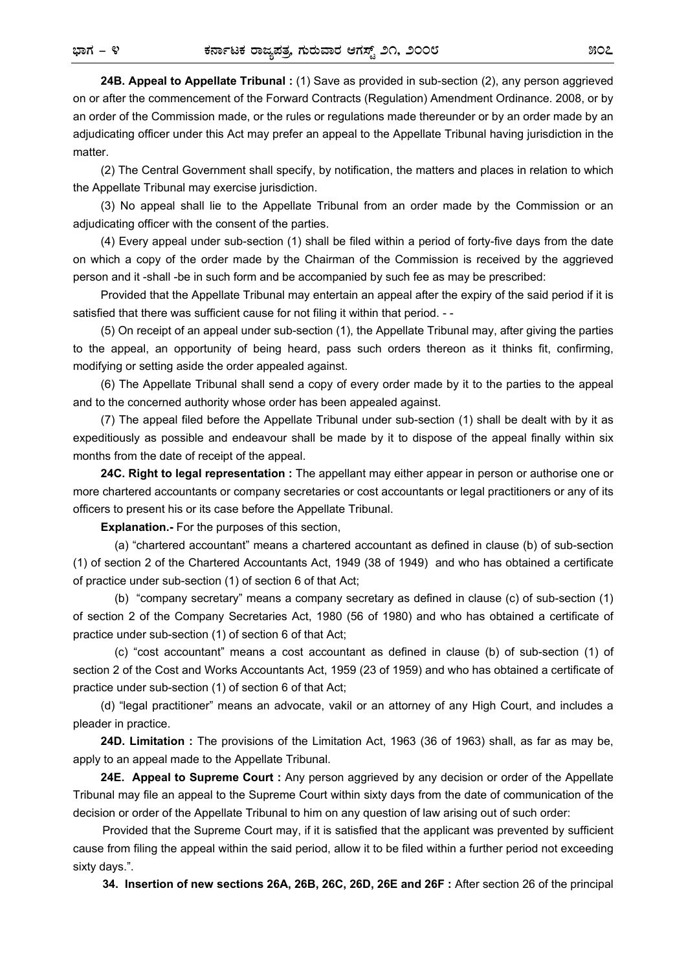matter.

 **24B. Appeal to Appellate Tribunal :** (1) Save as provided in sub-section (2), any person aggrieved on or after the commencement of the Forward Contracts (Regulation) Amendment Ordinance. 2008, or by an order of the Commission made, or the rules or regulations made thereunder or by an order made by an adjudicating officer under this Act may prefer an appeal to the Appellate Tribunal having jurisdiction in the

 (2) The Central Government shall specify, by notification, the matters and places in relation to which the Appellate Tribunal may exercise jurisdiction.

 (3) No appeal shall lie to the Appellate Tribunal from an order made by the Commission or an adjudicating officer with the consent of the parties.

 (4) Every appeal under sub-section (1) shall be filed within a period of forty-five days from the date on which a copy of the order made by the Chairman of the Commission is received by the aggrieved person and it -shall -be in such form and be accompanied by such fee as may be prescribed:

 Provided that the Appellate Tribunal may entertain an appeal after the expiry of the said period if it is satisfied that there was sufficient cause for not filing it within that period. - -

 (5) On receipt of an appeal under sub-section (1), the Appellate Tribunal may, after giving the parties to the appeal, an opportunity of being heard, pass such orders thereon as it thinks fit, confirming, modifying or setting aside the order appealed against.

 (6) The Appellate Tribunal shall send a copy of every order made by it to the parties to the appeal and to the concerned authority whose order has been appealed against.

 (7) The appeal filed before the Appellate Tribunal under sub-section (1) shall be dealt with by it as expeditiously as possible and endeavour shall be made by it to dispose of the appeal finally within six months from the date of receipt of the appeal.

 **24C. Right to legal representation :** The appellant may either appear in person or authorise one or more chartered accountants or company secretaries or cost accountants or legal practitioners or any of its officers to present his or its case before the Appellate Tribunal.

**Explanation.-** For the purposes of this section,

 (a) "chartered accountant" means a chartered accountant as defined in clause (b) of sub-section (1) of section 2 of the Chartered Accountants Act, 1949 (38 of 1949) and who has obtained a certificate of practice under sub-section (1) of section 6 of that Act;

 (b) "company secretary" means a company secretary as defined in clause (c) of sub-section (1) of section 2 of the Company Secretaries Act, 1980 (56 of 1980) and who has obtained a certificate of practice under sub-section (1) of section 6 of that Act;

 (c) "cost accountant" means a cost accountant as defined in clause (b) of sub-section (1) of section 2 of the Cost and Works Accountants Act, 1959 (23 of 1959) and who has obtained a certificate of practice under sub-section (1) of section 6 of that Act;

 (d) "legal practitioner" means an advocate, vakil or an attorney of any High Court, and includes a pleader in practice.

 **24D. Limitation :** The provisions of the Limitation Act, 1963 (36 of 1963) shall, as far as may be, apply to an appeal made to the Appellate Tribunal.

 **24E. Appeal to Supreme Court :** Any person aggrieved by any decision or order of the Appellate Tribunal may file an appeal to the Supreme Court within sixty days from the date of communication of the decision or order of the Appellate Tribunal to him on any question of law arising out of such order:

Provided that the Supreme Court may, if it is satisfied that the applicant was prevented by sufficient cause from filing the appeal within the said period, allow it to be filed within a further period not exceeding sixty days.".

**34. Insertion of new sections 26A, 26B, 26C, 26D, 26E and 26F :** After section 26 of the principal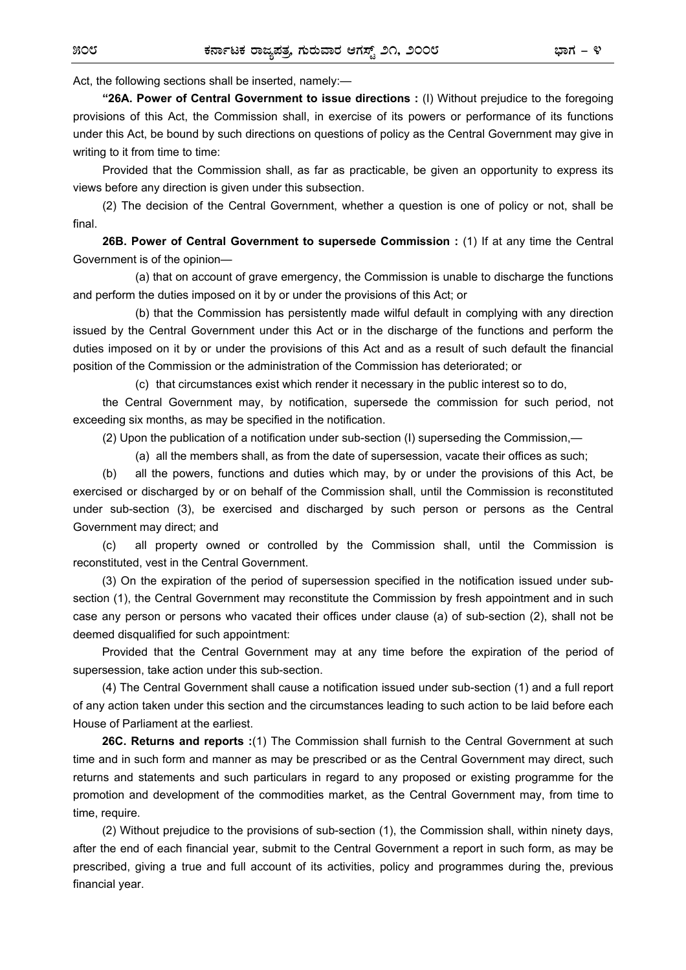Act, the following sections shall be inserted, namely:—

**"26A. Power of Central Government to issue directions :** (I) Without prejudice to the foregoing provisions of this Act, the Commission shall, in exercise of its powers or performance of its functions under this Act, be bound by such directions on questions of policy as the Central Government may give in writing to it from time to time:

Provided that the Commission shall, as far as practicable, be given an opportunity to express its views before any direction is given under this subsection.

(2) The decision of the Central Government, whether a question is one of policy or not, shall be final.

**26B. Power of Central Government to supersede Commission :** (1) If at any time the Central Government is of the opinion—

 (a) that on account of grave emergency, the Commission is unable to discharge the functions and perform the duties imposed on it by or under the provisions of this Act; or

 (b) that the Commission has persistently made wilful default in complying with any direction issued by the Central Government under this Act or in the discharge of the functions and perform the duties imposed on it by or under the provisions of this Act and as a result of such default the financial position of the Commission or the administration of the Commission has deteriorated; or

(c) that circumstances exist which render it necessary in the public interest so to do,

the Central Government may, by notification, supersede the commission for such period, not exceeding six months, as may be specified in the notification.

(2) Upon the publication of a notification under sub-section (I) superseding the Commission,—

(a) all the members shall, as from the date of supersession, vacate their offices as such;

 (b) all the powers, functions and duties which may, by or under the provisions of this Act, be exercised or discharged by or on behalf of the Commission shall, until the Commission is reconstituted under sub-section (3), be exercised and discharged by such person or persons as the Central Government may direct; and

 (c) all property owned or controlled by the Commission shall, until the Commission is reconstituted, vest in the Central Government.

(3) On the expiration of the period of supersession specified in the notification issued under subsection (1), the Central Government may reconstitute the Commission by fresh appointment and in such case any person or persons who vacated their offices under clause (a) of sub-section (2), shall not be deemed disqualified for such appointment:

Provided that the Central Government may at any time before the expiration of the period of supersession, take action under this sub-section.

(4) The Central Government shall cause a notification issued under sub-section (1) and a full report of any action taken under this section and the circumstances leading to such action to be laid before each House of Parliament at the earliest.

**26C. Returns and reports :**(1) The Commission shall furnish to the Central Government at such time and in such form and manner as may be prescribed or as the Central Government may direct, such returns and statements and such particulars in regard to any proposed or existing programme for the promotion and development of the commodities market, as the Central Government may, from time to time, require.

(2) Without prejudice to the provisions of sub-section (1), the Commission shall, within ninety days, after the end of each financial year, submit to the Central Government a report in such form, as may be prescribed, giving a true and full account of its activities, policy and programmes during the, previous financial year.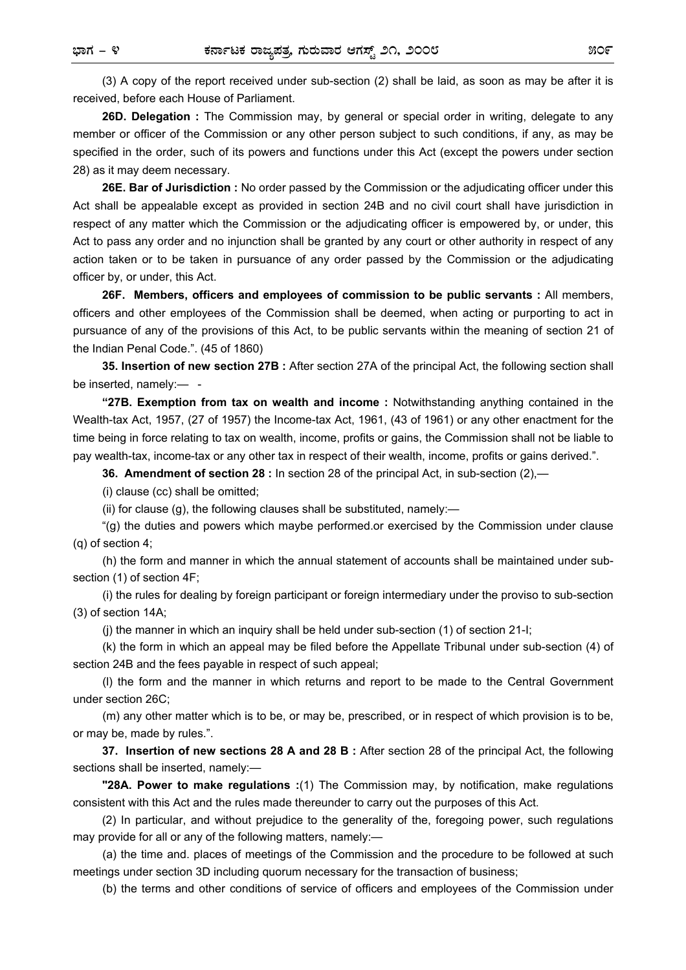(3) A copy of the report received under sub-section (2) shall be laid, as soon as may be after it is received, before each House of Parliament.

**26D. Delegation :** The Commission may, by general or special order in writing, delegate to any member or officer of the Commission or any other person subject to such conditions, if any, as may be specified in the order, such of its powers and functions under this Act (except the powers under section 28) as it may deem necessary.

**26E. Bar of Jurisdiction :** No order passed by the Commission or the adjudicating officer under this Act shall be appealable except as provided in section 24B and no civil court shall have jurisdiction in respect of any matter which the Commission or the adjudicating officer is empowered by, or under, this Act to pass any order and no injunction shall be granted by any court or other authority in respect of any action taken or to be taken in pursuance of any order passed by the Commission or the adjudicating officer by, or under, this Act.

**26F. Members, officers and employees of commission to be public servants :** All members, officers and other employees of the Commission shall be deemed, when acting or purporting to act in pursuance of any of the provisions of this Act, to be public servants within the meaning of section 21 of the Indian Penal Code.". (45 of 1860)

**35. Insertion of new section 27B :** After section 27A of the principal Act, the following section shall be inserted, namely:-

**"27B. Exemption from tax on wealth and income :** Notwithstanding anything contained in the Wealth-tax Act, 1957, (27 of 1957) the Income-tax Act, 1961, (43 of 1961) or any other enactment for the time being in force relating to tax on wealth, income, profits or gains, the Commission shall not be liable to pay wealth-tax, income-tax or any other tax in respect of their wealth, income, profits or gains derived.".

**36. Amendment of section 28 :** In section 28 of the principal Act, in sub-section (2),—

(i) clause (cc) shall be omitted;

(ii) for clause (g), the following clauses shall be substituted, namely:—

"(g) the duties and powers which maybe performed.or exercised by the Commission under clause (q) of section 4;

 (h) the form and manner in which the annual statement of accounts shall be maintained under subsection (1) of section 4F;

 (i) the rules for dealing by foreign participant or foreign intermediary under the proviso to sub-section (3) of section 14A;

(j) the manner in which an inquiry shall be held under sub-section (1) of section 21-I;

 (k) the form in which an appeal may be filed before the Appellate Tribunal under sub-section (4) of section 24B and the fees payable in respect of such appeal;

 (l) the form and the manner in which returns and report to be made to the Central Government under section 26C;

 (m) any other matter which is to be, or may be, prescribed, or in respect of which provision is to be, or may be, made by rules.".

**37. Insertion of new sections 28 A and 28 B :** After section 28 of the principal Act, the following sections shall be inserted, namely:—

**"28A. Power to make regulations :**(1) The Commission may, by notification, make regulations consistent with this Act and the rules made thereunder to carry out the purposes of this Act.

(2) In particular, and without prejudice to the generality of the, foregoing power, such regulations may provide for all or any of the following matters, namely:—

 (a) the time and. places of meetings of the Commission and the procedure to be followed at such meetings under section 3D including quorum necessary for the transaction of business;

(b) the terms and other conditions of service of officers and employees of the Commission under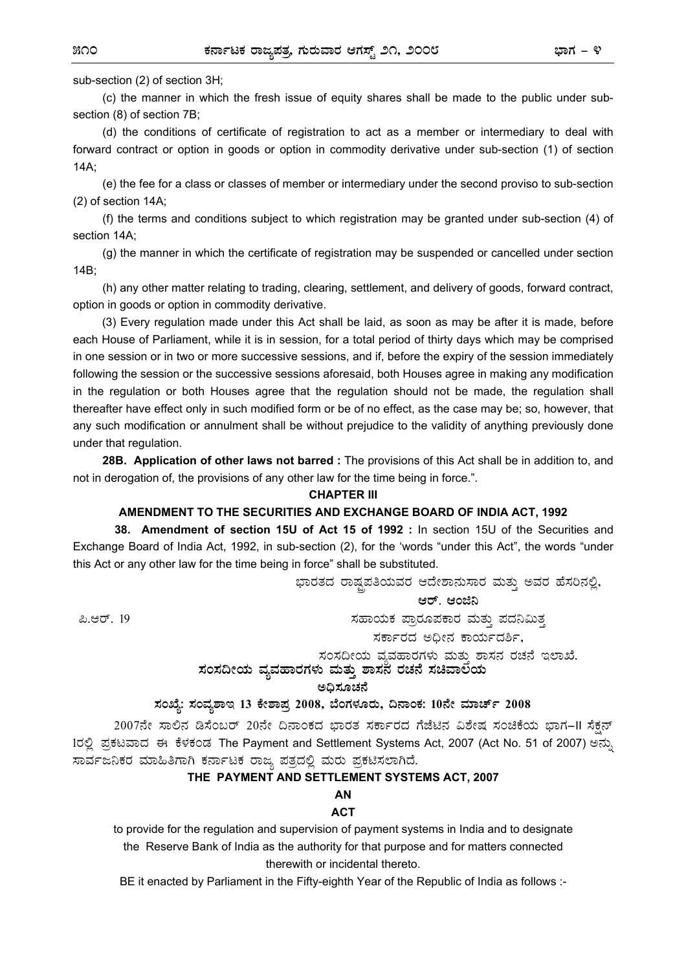sub-section (2) of section 3H;

 (c) the manner in which the fresh issue of equity shares shall be made to the public under subsection (8) of section 7B;

 (d) the conditions of certificate of registration to act as a member or intermediary to deal with forward contract or option in goods or option in commodity derivative under sub-section (1) of section 14A;

 (e) the fee for a class or classes of member or intermediary under the second proviso to sub-section (2) of section 14A;

 (f) the terms and conditions subject to which registration may be granted under sub-section (4) of section 14A;

 (g) the manner in which the certificate of registration may be suspended or cancelled under section 14B;

 (h) any other matter relating to trading, clearing, settlement, and delivery of goods, forward contract, option in goods or option in commodity derivative.

(3) Every regulation made under this Act shall be laid, as soon as may be after it is made, before each House of Parliament, while it is in session, for a total period of thirty days which may be comprised in one session or in two or more successive sessions, and if, before the expiry of the session immediately following the session or the successive sessions aforesaid, both Houses agree in making any modification in the regulation or both Houses agree that the regulation should not be made, the regulation shall thereafter have effect only in such modified form or be of no effect, as the case may be; so, however, that any such modification or annulment shall be without prejudice to the validity of anything previously done under that regulation.

**28B. Application of other laws not barred :** The provisions of this Act shall be in addition to, and not in derogation of, the provisions of any other law for the time being in force.".

#### **CHAPTER III**

### **AMENDMENT TO THE SECURITIES AND EXCHANGE BOARD OF INDIA ACT, 1992**

 **38. Amendment of section 15U of Act 15 of 1992 :** In section 15U of the Securities and Exchange Board of India Act, 1992, in sub-section (2), for the 'words "under this Act", the words "under this Act or any other law for the time being in force" shall be substituted.

ಭಾರತದ ರಾಷ್ಟಪತಿಯವರ ಆದೇಶಾನುಸಾರ ಮತ್ತು ಅವರ ಹೆಸರಿನಲ್ಲಿ,

ಆರ್. ಆಂಜಿನಿ

ಪಿ.ಆರ್. 19

ಸಹಾಯಕ ಪ್ರಾರೂಪಕಾರ ಮತ್ತು ಪದನಿಮಿತ್<mark>ತ</mark>

ಸರ್ಕಾರದ ಅಧೀನ ಕಾರ್ಯದರ್ಶಿ,

ಸಂಸದೀಯ ವ್ಯವಹಾರಗಳು ಮತು ಶಾಸನ ರಚನೆ ಇಲಾಖೆ.

 $\,$ ಸಂಸದೀಯ ವ್ಯವಹಾರಗಳು ಮತ್ತು ಶಾಸನ ರಚನೆ ಸಚಿವಾಲಿಯ

**C¢ü¸ÀÆZÀ£É** 

ಸಂಖ್ಯೆ: ಸಂವ್ನಶಾಇ 13 ಕೇಶಾಪ್ರ 2008, ಬೆಂಗಳೂರು, ದಿನಾಂಕ: 10ನೇ ಮಾರ್ಚ್ 2008

2007ನೇ ಸಾಲಿನ ಡಿಸೆಂಬರ್ 20ನೇ ದಿನಾಂಕದ ಭಾರತ ಸರ್ಕಾರದ ಗೆಜೆಟಿನ ವಿಶೇಷ ಸಂಚಿಕೆಯ ಭಾಗ-II ಸೆಕ್ಷನ್ 1ರಲ್ಲಿ ಪ್ರಕಟವಾದ ಈ ಕೆಳಕಂಡ The Payment and Settlement Systems Act, 2007 (Act No. 51 of 2007) ಅನ್ಸು ಸಾರ್ವಜನಿಕರ ಮಾಹಿತಿಗಾಗಿ ಕರ್ನಾಟಕ ರಾಜ್ಯ ಪತ್ರದಲ್ಲಿ ಮರು ಪ್ರಕಟಿಸಲಾಗಿದೆ.

## **THE PAYMENT AND SETTLEMENT SYSTEMS ACT, 2007**

**AN** 

## **ACT**

to provide for the regulation and supervision of payment systems in India and to designate the Reserve Bank of India as the authority for that purpose and for matters connected therewith or incidental thereto.

BE it enacted by Parliament in the Fifty-eighth Year of the Republic of India as follows :-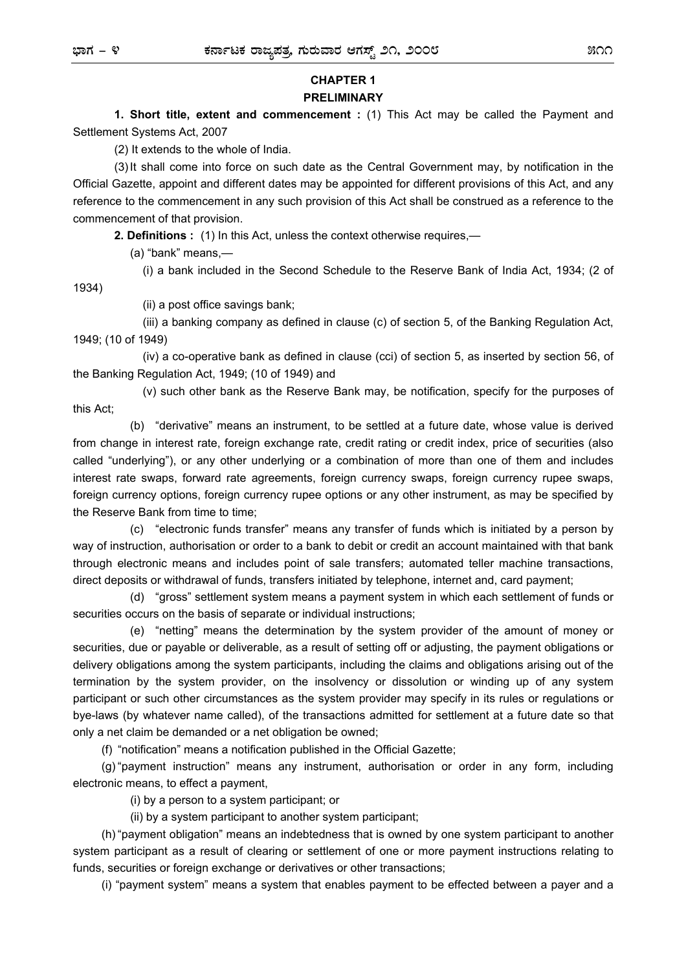## **CHAPTER 1 PRELIMINARY**

**1. Short title, extent and commencement :** (1) This Act may be called the Payment and Settlement Systems Act, 2007

(2) It extends to the whole of India.

 (3) It shall come into force on such date as the Central Government may, by notification in the Official Gazette, appoint and different dates may be appointed for different provisions of this Act, and any reference to the commencement in any such provision of this Act shall be construed as a reference to the commencement of that provision.

**2. Definitions :** (1) In this Act, unless the context otherwise requires,—

(a) "bank" means,—

(i) a bank included in the Second Schedule to the Reserve Bank of India Act, 1934; (2 of

1934)

(ii) a post office savings bank;

 (iii) a banking company as defined in clause (c) of section 5, of the Banking Regulation Act, 1949; (10 of 1949)

 (iv) a co-operative bank as defined in clause (cci) of section 5, as inserted by section 56, of the Banking Regulation Act, 1949; (10 of 1949) and

 (v) such other bank as the Reserve Bank may, be notification, specify for the purposes of this Act;

 (b) "derivative" means an instrument, to be settled at a future date, whose value is derived from change in interest rate, foreign exchange rate, credit rating or credit index, price of securities (also called "underlying"), or any other underlying or a combination of more than one of them and includes interest rate swaps, forward rate agreements, foreign currency swaps, foreign currency rupee swaps, foreign currency options, foreign currency rupee options or any other instrument, as may be specified by the Reserve Bank from time to time;

 (c) "electronic funds transfer" means any transfer of funds which is initiated by a person by way of instruction, authorisation or order to a bank to debit or credit an account maintained with that bank through electronic means and includes point of sale transfers; automated teller machine transactions, direct deposits or withdrawal of funds, transfers initiated by telephone, internet and, card payment;

 (d) "gross" settlement system means a payment system in which each settlement of funds or securities occurs on the basis of separate or individual instructions;

 (e) "netting" means the determination by the system provider of the amount of money or securities, due or payable or deliverable, as a result of setting off or adjusting, the payment obligations or delivery obligations among the system participants, including the claims and obligations arising out of the termination by the system provider, on the insolvency or dissolution or winding up of any system participant or such other circumstances as the system provider may specify in its rules or regulations or bye-laws (by whatever name called), of the transactions admitted for settlement at a future date so that only a net claim be demanded or a net obligation be owned;

(f) "notification" means a notification published in the Official Gazette;

(g) "payment instruction" means any instrument, authorisation or order in any form, including electronic means, to effect a payment,

(i) by a person to a system participant; or

(ii) by a system participant to another system participant;

(h) "payment obligation" means an indebtedness that is owned by one system participant to another system participant as a result of clearing or settlement of one or more payment instructions relating to funds, securities or foreign exchange or derivatives or other transactions;

(i) "payment system" means a system that enables payment to be effected between a payer and a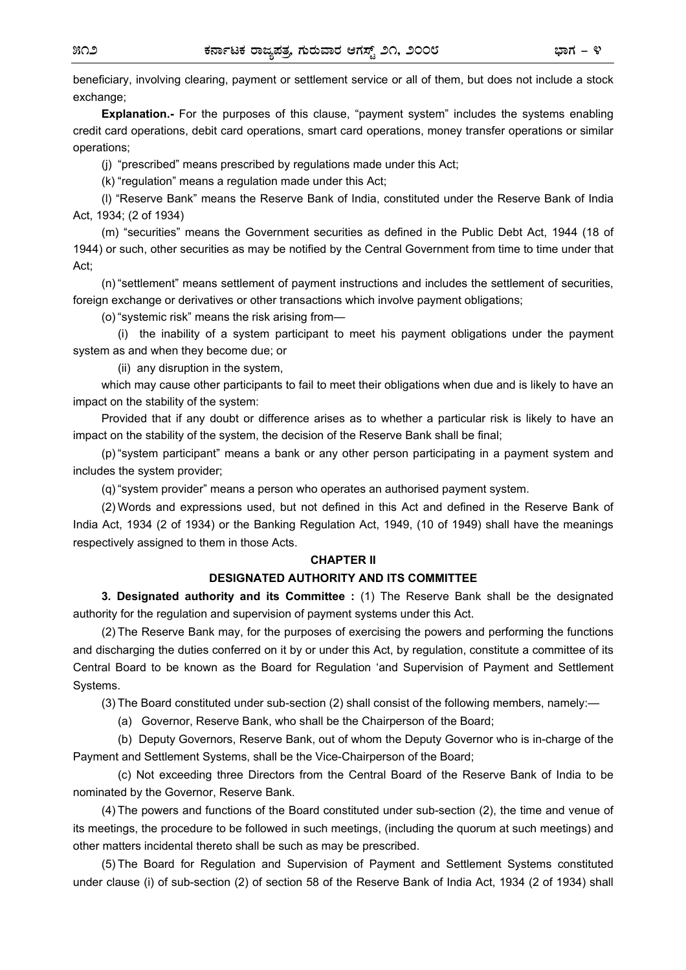beneficiary, involving clearing, payment or settlement service or all of them, but does not include a stock exchange:

**Explanation.-** For the purposes of this clause, "payment system" includes the systems enabling credit card operations, debit card operations, smart card operations, money transfer operations or similar operations;

(j) "prescribed" means prescribed by regulations made under this Act;

(k) "regulation" means a regulation made under this Act;

(l) "Reserve Bank" means the Reserve Bank of India, constituted under the Reserve Bank of India Act, 1934; (2 of 1934)

(m) "securities" means the Government securities as defined in the Public Debt Act, 1944 (18 of 1944) or such, other securities as may be notified by the Central Government from time to time under that Act;

(n) "settlement" means settlement of payment instructions and includes the settlement of securities, foreign exchange or derivatives or other transactions which involve payment obligations;

(o) "systemic risk" means the risk arising from—

 (i) the inability of a system participant to meet his payment obligations under the payment system as and when they become due; or

(ii) any disruption in the system,

which may cause other participants to fail to meet their obligations when due and is likely to have an impact on the stability of the system:

Provided that if any doubt or difference arises as to whether a particular risk is likely to have an impact on the stability of the system, the decision of the Reserve Bank shall be final;

(p) "system participant" means a bank or any other person participating in a payment system and includes the system provider;

(q) "system provider" means a person who operates an authorised payment system.

(2) Words and expressions used, but not defined in this Act and defined in the Reserve Bank of India Act, 1934 (2 of 1934) or the Banking Regulation Act, 1949, (10 of 1949) shall have the meanings respectively assigned to them in those Acts.

#### **CHAPTER II**

#### **DESIGNATED AUTHORITY AND ITS COMMITTEE**

**3. Designated authority and its Committee :** (1) The Reserve Bank shall be the designated authority for the regulation and supervision of payment systems under this Act.

(2) The Reserve Bank may, for the purposes of exercising the powers and performing the functions and discharging the duties conferred on it by or under this Act, by regulation, constitute a committee of its Central Board to be known as the Board for Regulation 'and Supervision of Payment and Settlement Systems.

(3) The Board constituted under sub-section (2) shall consist of the following members, namely:—

(a) Governor, Reserve Bank, who shall be the Chairperson of the Board;

 (b) Deputy Governors, Reserve Bank, out of whom the Deputy Governor who is in-charge of the Payment and Settlement Systems, shall be the Vice-Chairperson of the Board;

 (c) Not exceeding three Directors from the Central Board of the Reserve Bank of India to be nominated by the Governor, Reserve Bank.

(4) The powers and functions of the Board constituted under sub-section (2), the time and venue of its meetings, the procedure to be followed in such meetings, (including the quorum at such meetings) and other matters incidental thereto shall be such as may be prescribed.

(5) The Board for Regulation and Supervision of Payment and Settlement Systems constituted under clause (i) of sub-section (2) of section 58 of the Reserve Bank of India Act, 1934 (2 of 1934) shall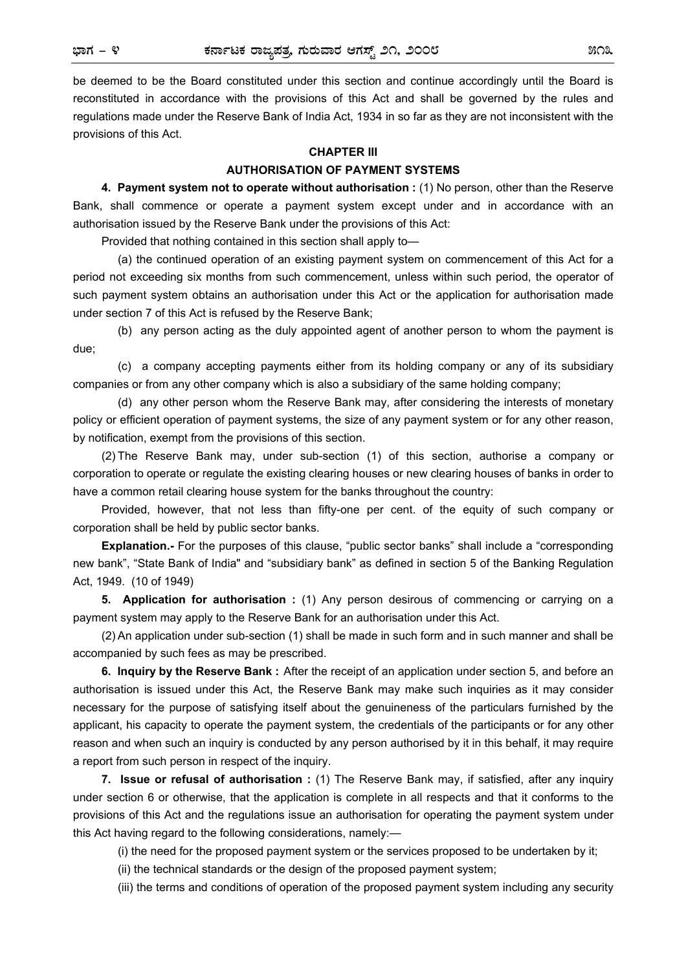be deemed to be the Board constituted under this section and continue accordingly until the Board is reconstituted in accordance with the provisions of this Act and shall be governed by the rules and regulations made under the Reserve Bank of India Act, 1934 in so far as they are not inconsistent with the provisions of this Act.

#### **CHAPTER III**

## **AUTHORISATION OF PAYMENT SYSTEMS**

**4. Payment system not to operate without authorisation :** (1) No person, other than the Reserve Bank, shall commence or operate a payment system except under and in accordance with an authorisation issued by the Reserve Bank under the provisions of this Act:

Provided that nothing contained in this section shall apply to—

 (a) the continued operation of an existing payment system on commencement of this Act for a period not exceeding six months from such commencement, unless within such period, the operator of such payment system obtains an authorisation under this Act or the application for authorisation made under section 7 of this Act is refused by the Reserve Bank;

 (b) any person acting as the duly appointed agent of another person to whom the payment is due;

 (c) a company accepting payments either from its holding company or any of its subsidiary companies or from any other company which is also a subsidiary of the same holding company;

 (d) any other person whom the Reserve Bank may, after considering the interests of monetary policy or efficient operation of payment systems, the size of any payment system or for any other reason, by notification, exempt from the provisions of this section.

(2) The Reserve Bank may, under sub-section (1) of this section, authorise a company or corporation to operate or regulate the existing clearing houses or new clearing houses of banks in order to have a common retail clearing house system for the banks throughout the country:

Provided, however, that not less than fifty-one per cent. of the equity of such company or corporation shall be held by public sector banks.

**Explanation.-** For the purposes of this clause, "public sector banks" shall include a "corresponding new bank", "State Bank of India" and "subsidiary bank" as defined in section 5 of the Banking Regulation Act, 1949. (10 of 1949)

**5. Application for authorisation :** (1) Any person desirous of commencing or carrying on a payment system may apply to the Reserve Bank for an authorisation under this Act.

(2) An application under sub-section (1) shall be made in such form and in such manner and shall be accompanied by such fees as may be prescribed.

**6. Inquiry by the Reserve Bank :** After the receipt of an application under section 5, and before an authorisation is issued under this Act, the Reserve Bank may make such inquiries as it may consider necessary for the purpose of satisfying itself about the genuineness of the particulars furnished by the applicant, his capacity to operate the payment system, the credentials of the participants or for any other reason and when such an inquiry is conducted by any person authorised by it in this behalf, it may require a report from such person in respect of the inquiry.

**7. Issue or refusal of authorisation :** (1) The Reserve Bank may, if satisfied, after any inquiry under section 6 or otherwise, that the application is complete in all respects and that it conforms to the provisions of this Act and the regulations issue an authorisation for operating the payment system under this Act having regard to the following considerations, namely:—

(i) the need for the proposed payment system or the services proposed to be undertaken by it;

(ii) the technical standards or the design of the proposed payment system;

(iii) the terms and conditions of operation of the proposed payment system including any security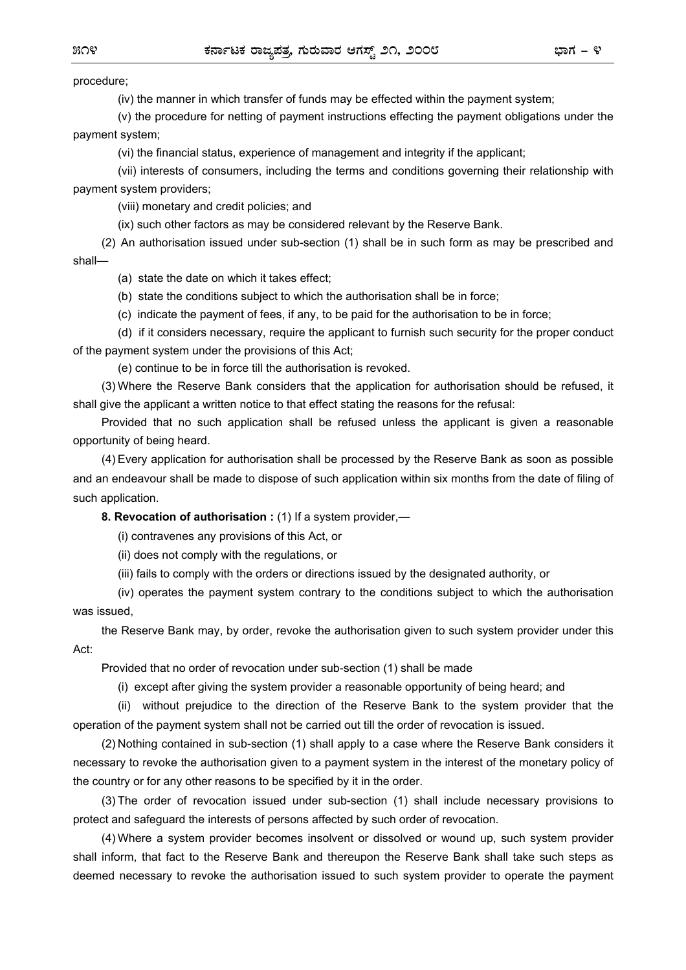procedure;

(iv) the manner in which transfer of funds may be effected within the payment system;

 (v) the procedure for netting of payment instructions effecting the payment obligations under the payment system;

(vi) the financial status, experience of management and integrity if the applicant;

 (vii) interests of consumers, including the terms and conditions governing their relationship with payment system providers;

(viii) monetary and credit policies; and

(ix) such other factors as may be considered relevant by the Reserve Bank.

 (2) An authorisation issued under sub-section (1) shall be in such form as may be prescribed and shall—

(a) state the date on which it takes effect;

(b) state the conditions subject to which the authorisation shall be in force;

(c) indicate the payment of fees, if any, to be paid for the authorisation to be in force;

 (d) if it considers necessary, require the applicant to furnish such security for the proper conduct of the payment system under the provisions of this Act;

(e) continue to be in force till the authorisation is revoked.

 (3) Where the Reserve Bank considers that the application for authorisation should be refused, it shall give the applicant a written notice to that effect stating the reasons for the refusal:

 Provided that no such application shall be refused unless the applicant is given a reasonable opportunity of being heard.

 (4) Every application for authorisation shall be processed by the Reserve Bank as soon as possible and an endeavour shall be made to dispose of such application within six months from the date of filing of such application.

 **8. Revocation of authorisation :** (1) If a system provider,—

(i) contravenes any provisions of this Act, or

(ii) does not comply with the regulations, or

(iii) fails to comply with the orders or directions issued by the designated authority, or

 (iv) operates the payment system contrary to the conditions subject to which the authorisation was issued,

 the Reserve Bank may, by order, revoke the authorisation given to such system provider under this Act:

Provided that no order of revocation under sub-section (1) shall be made

(i) except after giving the system provider a reasonable opportunity of being heard; and

 (ii) without prejudice to the direction of the Reserve Bank to the system provider that the operation of the payment system shall not be carried out till the order of revocation is issued.

 (2) Nothing contained in sub-section (1) shall apply to a case where the Reserve Bank considers it necessary to revoke the authorisation given to a payment system in the interest of the monetary policy of the country or for any other reasons to be specified by it in the order.

 (3) The order of revocation issued under sub-section (1) shall include necessary provisions to protect and safeguard the interests of persons affected by such order of revocation.

 (4) Where a system provider becomes insolvent or dissolved or wound up, such system provider shall inform, that fact to the Reserve Bank and thereupon the Reserve Bank shall take such steps as deemed necessary to revoke the authorisation issued to such system provider to operate the payment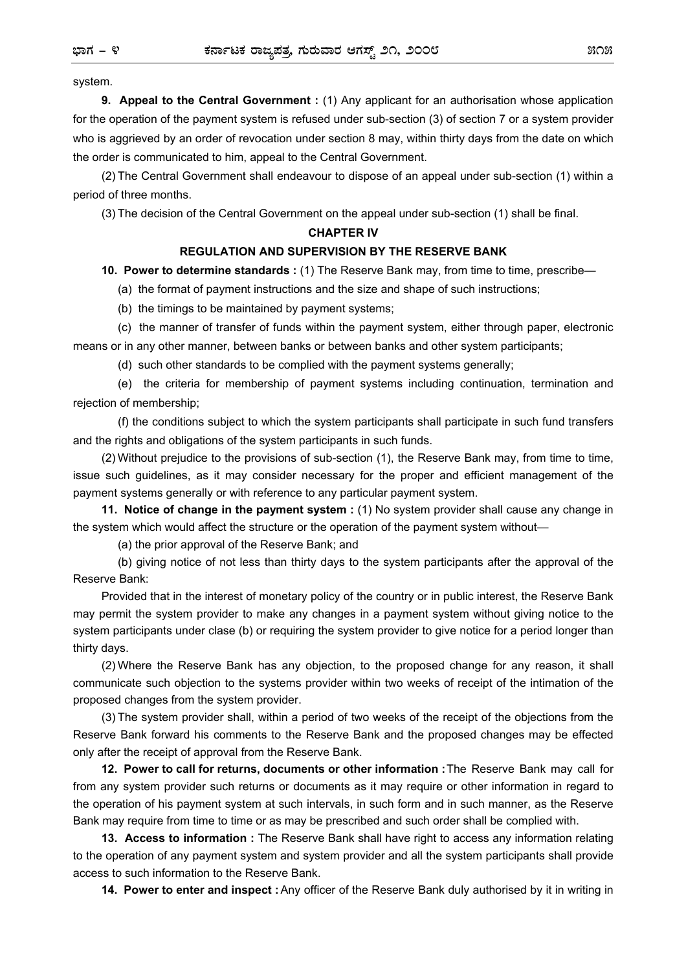system.

 **9. Appeal to the Central Government :** (1) Any applicant for an authorisation whose application for the operation of the payment system is refused under sub-section (3) of section 7 or a system provider who is aggrieved by an order of revocation under section 8 may, within thirty days from the date on which the order is communicated to him, appeal to the Central Government.

(2) The Central Government shall endeavour to dispose of an appeal under sub-section (1) within a period of three months.

(3) The decision of the Central Government on the appeal under sub-section (1) shall be final.

### **CHAPTER IV**

#### **REGULATION AND SUPERVISION BY THE RESERVE BANK**

**10. Power to determine standards :** (1) The Reserve Bank may, from time to time, prescribe—

(a) the format of payment instructions and the size and shape of such instructions;

(b) the timings to be maintained by payment systems;

 (c) the manner of transfer of funds within the payment system, either through paper, electronic means or in any other manner, between banks or between banks and other system participants;

(d) such other standards to be complied with the payment systems generally;

 (e) the criteria for membership of payment systems including continuation, termination and rejection of membership;

 (f) the conditions subject to which the system participants shall participate in such fund transfers and the rights and obligations of the system participants in such funds.

 (2) Without prejudice to the provisions of sub-section (1), the Reserve Bank may, from time to time, issue such guidelines, as it may consider necessary for the proper and efficient management of the payment systems generally or with reference to any particular payment system.

 **11. Notice of change in the payment system :** (1) No system provider shall cause any change in the system which would affect the structure or the operation of the payment system without—

(a) the prior approval of the Reserve Bank; and

 (b) giving notice of not less than thirty days to the system participants after the approval of the Reserve Bank:

 Provided that in the interest of monetary policy of the country or in public interest, the Reserve Bank may permit the system provider to make any changes in a payment system without giving notice to the system participants under clase (b) or requiring the system provider to give notice for a period longer than thirty days.

 (2) Where the Reserve Bank has any objection, to the proposed change for any reason, it shall communicate such objection to the systems provider within two weeks of receipt of the intimation of the proposed changes from the system provider.

 (3) The system provider shall, within a period of two weeks of the receipt of the objections from the Reserve Bank forward his comments to the Reserve Bank and the proposed changes may be effected only after the receipt of approval from the Reserve Bank.

 **12. Power to call for returns, documents or other information :** The Reserve Bank may call for from any system provider such returns or documents as it may require or other information in regard to the operation of his payment system at such intervals, in such form and in such manner, as the Reserve Bank may require from time to time or as may be prescribed and such order shall be complied with.

**13. Access to information :** The Reserve Bank shall have right to access any information relating to the operation of any payment system and system provider and all the system participants shall provide access to such information to the Reserve Bank.

**14. Power to enter and inspect :** Any officer of the Reserve Bank duly authorised by it in writing in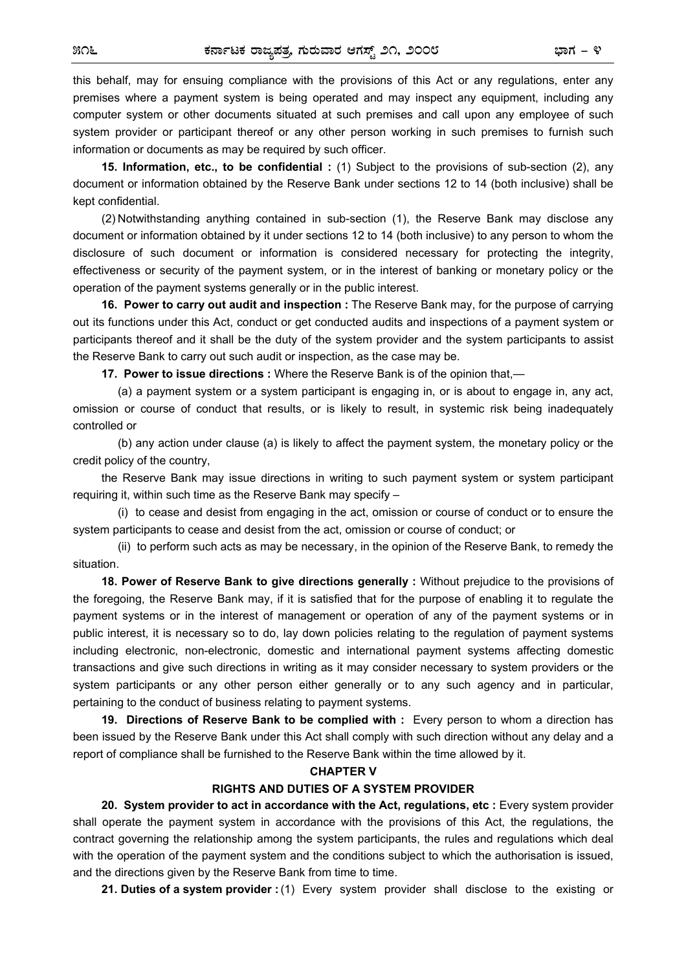this behalf, may for ensuing compliance with the provisions of this Act or any regulations, enter any premises where a payment system is being operated and may inspect any equipment, including any computer system or other documents situated at such premises and call upon any employee of such system provider or participant thereof or any other person working in such premises to furnish such information or documents as may be required by such officer.

**15. Information, etc., to be confidential :** (1) Subject to the provisions of sub-section (2), any document or information obtained by the Reserve Bank under sections 12 to 14 (both inclusive) shall be kept confidential.

(2) Notwithstanding anything contained in sub-section (1), the Reserve Bank may disclose any document or information obtained by it under sections 12 to 14 (both inclusive) to any person to whom the disclosure of such document or information is considered necessary for protecting the integrity, effectiveness or security of the payment system, or in the interest of banking or monetary policy or the operation of the payment systems generally or in the public interest.

**16. Power to carry out audit and inspection :** The Reserve Bank may, for the purpose of carrying out its functions under this Act, conduct or get conducted audits and inspections of a payment system or participants thereof and it shall be the duty of the system provider and the system participants to assist the Reserve Bank to carry out such audit or inspection, as the case may be.

**17. Power to issue directions :** Where the Reserve Bank is of the opinion that,—

(a) a payment system or a system participant is engaging in, or is about to engage in, any act, omission or course of conduct that results, or is likely to result, in systemic risk being inadequately controlled or

 (b) any action under clause (a) is likely to affect the payment system, the monetary policy or the credit policy of the country,

the Reserve Bank may issue directions in writing to such payment system or system participant requiring it, within such time as the Reserve Bank may specify –

 (i) to cease and desist from engaging in the act, omission or course of conduct or to ensure the system participants to cease and desist from the act, omission or course of conduct; or

 (ii) to perform such acts as may be necessary, in the opinion of the Reserve Bank, to remedy the situation.

 **18. Power of Reserve Bank to give directions generally :** Without prejudice to the provisions of the foregoing, the Reserve Bank may, if it is satisfied that for the purpose of enabling it to regulate the payment systems or in the interest of management or operation of any of the payment systems or in public interest, it is necessary so to do, lay down policies relating to the regulation of payment systems including electronic, non-electronic, domestic and international payment systems affecting domestic transactions and give such directions in writing as it may consider necessary to system providers or the system participants or any other person either generally or to any such agency and in particular, pertaining to the conduct of business relating to payment systems.

 **19. Directions of Reserve Bank to be complied with :** Every person to whom a direction has been issued by the Reserve Bank under this Act shall comply with such direction without any delay and a report of compliance shall be furnished to the Reserve Bank within the time allowed by it.

### **CHAPTER V**

## **RIGHTS AND DUTIES OF A SYSTEM PROVIDER**

**20. System provider to act in accordance with the Act, regulations, etc :** Every system provider shall operate the payment system in accordance with the provisions of this Act, the regulations, the contract governing the relationship among the system participants, the rules and regulations which deal with the operation of the payment system and the conditions subject to which the authorisation is issued, and the directions given by the Reserve Bank from time to time.

**21. Duties of a system provider :** (1) Every system provider shall disclose to the existing or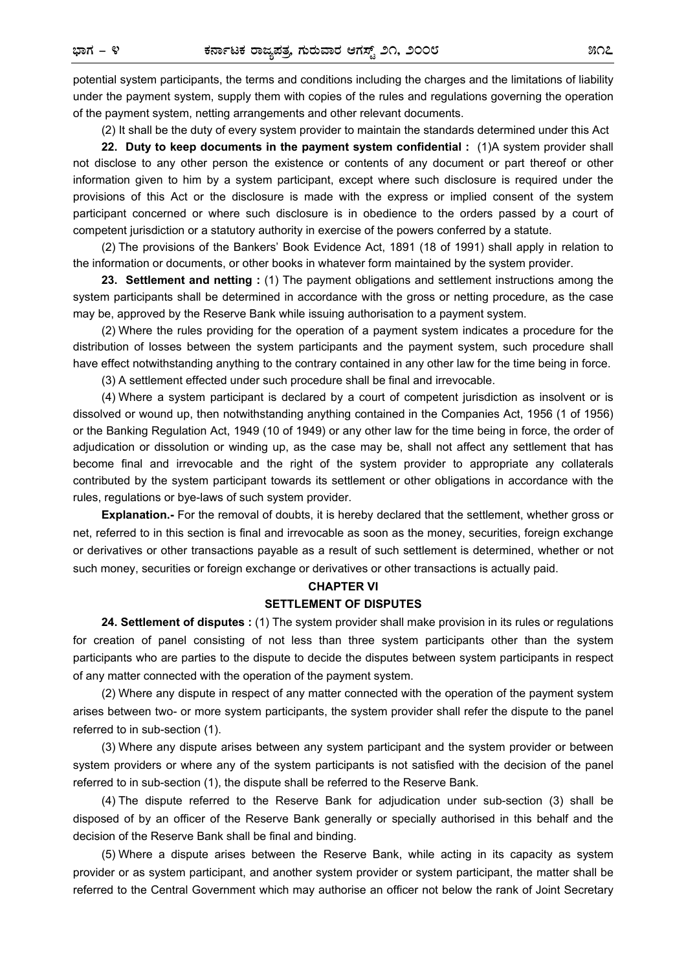potential system participants, the terms and conditions including the charges and the limitations of liability under the payment system, supply them with copies of the rules and regulations governing the operation of the payment system, netting arrangements and other relevant documents.

(2) It shall be the duty of every system provider to maintain the standards determined under this Act

**22. Duty to keep documents in the payment system confidential :** (1)A system provider shall not disclose to any other person the existence or contents of any document or part thereof or other information given to him by a system participant, except where such disclosure is required under the provisions of this Act or the disclosure is made with the express or implied consent of the system participant concerned or where such disclosure is in obedience to the orders passed by a court of competent jurisdiction or a statutory authority in exercise of the powers conferred by a statute.

(2) The provisions of the Bankers' Book Evidence Act, 1891 (18 of 1991) shall apply in relation to the information or documents, or other books in whatever form maintained by the system provider.

**23. Settlement and netting :** (1) The payment obligations and settlement instructions among the system participants shall be determined in accordance with the gross or netting procedure, as the case may be, approved by the Reserve Bank while issuing authorisation to a payment system.

(2) Where the rules providing for the operation of a payment system indicates a procedure for the distribution of losses between the system participants and the payment system, such procedure shall have effect notwithstanding anything to the contrary contained in any other law for the time being in force.

(3) A settlement effected under such procedure shall be final and irrevocable.

(4) Where a system participant is declared by a court of competent jurisdiction as insolvent or is dissolved or wound up, then notwithstanding anything contained in the Companies Act, 1956 (1 of 1956) or the Banking Regulation Act, 1949 (10 of 1949) or any other law for the time being in force, the order of adjudication or dissolution or winding up, as the case may be, shall not affect any settlement that has become final and irrevocable and the right of the system provider to appropriate any collaterals contributed by the system participant towards its settlement or other obligations in accordance with the rules, regulations or bye-laws of such system provider.

**Explanation.-** For the removal of doubts, it is hereby declared that the settlement, whether gross or net, referred to in this section is final and irrevocable as soon as the money, securities, foreign exchange or derivatives or other transactions payable as a result of such settlement is determined, whether or not such money, securities or foreign exchange or derivatives or other transactions is actually paid.

## **CHAPTER VI SETTLEMENT OF DISPUTES**

**24. Settlement of disputes :** (1) The system provider shall make provision in its rules or regulations for creation of panel consisting of not less than three system participants other than the system participants who are parties to the dispute to decide the disputes between system participants in respect of any matter connected with the operation of the payment system.

(2) Where any dispute in respect of any matter connected with the operation of the payment system arises between two- or more system participants, the system provider shall refer the dispute to the panel referred to in sub-section (1).

(3) Where any dispute arises between any system participant and the system provider or between system providers or where any of the system participants is not satisfied with the decision of the panel referred to in sub-section (1), the dispute shall be referred to the Reserve Bank.

(4) The dispute referred to the Reserve Bank for adjudication under sub-section (3) shall be disposed of by an officer of the Reserve Bank generally or specially authorised in this behalf and the decision of the Reserve Bank shall be final and binding.

(5) Where a dispute arises between the Reserve Bank, while acting in its capacity as system provider or as system participant, and another system provider or system participant, the matter shall be referred to the Central Government which may authorise an officer not below the rank of Joint Secretary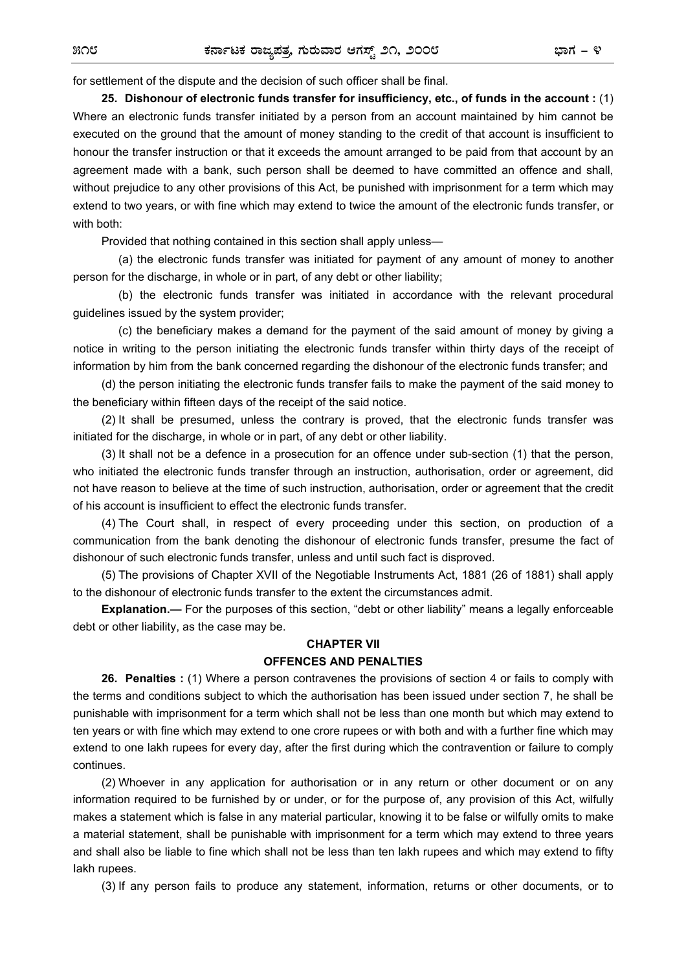for settlement of the dispute and the decision of such officer shall be final.

**25. Dishonour of electronic funds transfer for insufficiency, etc., of funds in the account :** (1) Where an electronic funds transfer initiated by a person from an account maintained by him cannot be executed on the ground that the amount of money standing to the credit of that account is insufficient to honour the transfer instruction or that it exceeds the amount arranged to be paid from that account by an agreement made with a bank, such person shall be deemed to have committed an offence and shall, without prejudice to any other provisions of this Act, be punished with imprisonment for a term which may extend to two years, or with fine which may extend to twice the amount of the electronic funds transfer, or with both:

Provided that nothing contained in this section shall apply unless—

 (a) the electronic funds transfer was initiated for payment of any amount of money to another person for the discharge, in whole or in part, of any debt or other liability;

 (b) the electronic funds transfer was initiated in accordance with the relevant procedural guidelines issued by the system provider;

 (c) the beneficiary makes a demand for the payment of the said amount of money by giving a notice in writing to the person initiating the electronic funds transfer within thirty days of the receipt of information by him from the bank concerned regarding the dishonour of the electronic funds transfer; and

(d) the person initiating the electronic funds transfer fails to make the payment of the said money to the beneficiary within fifteen days of the receipt of the said notice.

(2) It shall be presumed, unless the contrary is proved, that the electronic funds transfer was initiated for the discharge, in whole or in part, of any debt or other liability.

(3) It shall not be a defence in a prosecution for an offence under sub-section (1) that the person, who initiated the electronic funds transfer through an instruction, authorisation, order or agreement, did not have reason to believe at the time of such instruction, authorisation, order or agreement that the credit of his account is insufficient to effect the electronic funds transfer.

(4) The Court shall, in respect of every proceeding under this section, on production of a communication from the bank denoting the dishonour of electronic funds transfer, presume the fact of dishonour of such electronic funds transfer, unless and until such fact is disproved.

(5) The provisions of Chapter XVII of the Negotiable Instruments Act, 1881 (26 of 1881) shall apply to the dishonour of electronic funds transfer to the extent the circumstances admit.

**Explanation.—** For the purposes of this section, "debt or other liability" means a legally enforceable debt or other liability, as the case may be.

## **CHAPTER VII**

## **OFFENCES AND PENALTIES**

**26. Penalties :** (1) Where a person contravenes the provisions of section 4 or fails to comply with the terms and conditions subject to which the authorisation has been issued under section 7, he shall be punishable with imprisonment for a term which shall not be less than one month but which may extend to ten years or with fine which may extend to one crore rupees or with both and with a further fine which may extend to one lakh rupees for every day, after the first during which the contravention or failure to comply continues.

(2) Whoever in any application for authorisation or in any return or other document or on any information required to be furnished by or under, or for the purpose of, any provision of this Act, wilfully makes a statement which is false in any material particular, knowing it to be false or wilfully omits to make a material statement, shall be punishable with imprisonment for a term which may extend to three years and shall also be liable to fine which shall not be less than ten lakh rupees and which may extend to fifty Iakh rupees.

(3) If any person fails to produce any statement, information, returns or other documents, or to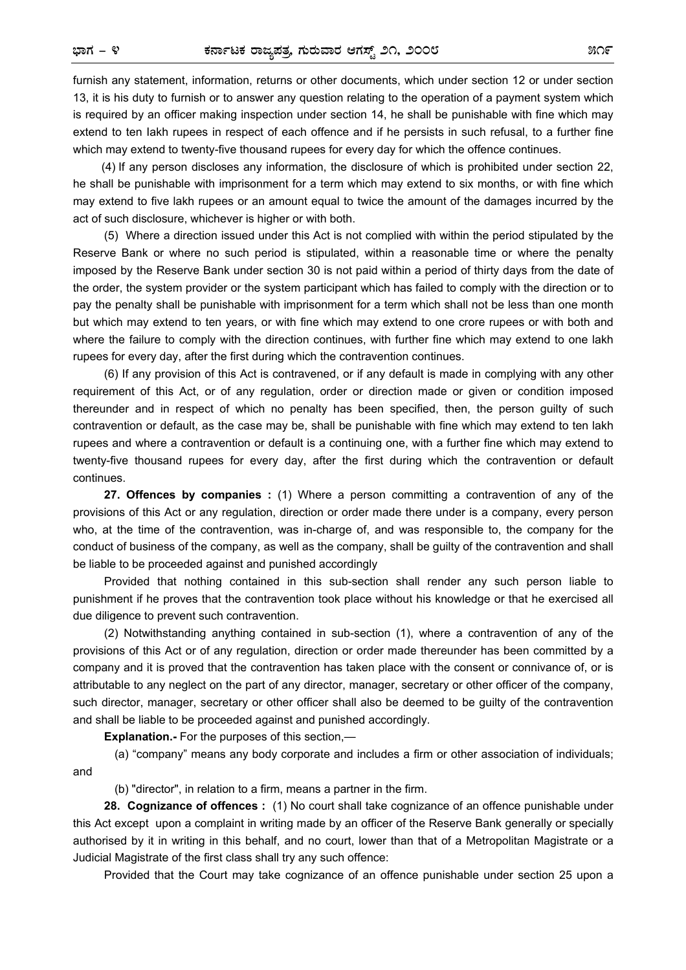furnish any statement, information, returns or other documents, which under section 12 or under section 13, it is his duty to furnish or to answer any question relating to the operation of a payment system which is required by an officer making inspection under section 14, he shall be punishable with fine which may extend to ten Iakh rupees in respect of each offence and if he persists in such refusal, to a further fine which may extend to twenty-five thousand rupees for every day for which the offence continues.

(4) If any person discloses any information, the disclosure of which is prohibited under section 22, he shall be punishable with imprisonment for a term which may extend to six months, or with fine which may extend to five lakh rupees or an amount equal to twice the amount of the damages incurred by the act of such disclosure, whichever is higher or with both.

(5) Where a direction issued under this Act is not complied with within the period stipulated by the Reserve Bank or where no such period is stipulated, within a reasonable time or where the penalty imposed by the Reserve Bank under section 30 is not paid within a period of thirty days from the date of the order, the system provider or the system participant which has failed to comply with the direction or to pay the penalty shall be punishable with imprisonment for a term which shall not be less than one month but which may extend to ten years, or with fine which may extend to one crore rupees or with both and where the failure to comply with the direction continues, with further fine which may extend to one lakh rupees for every day, after the first during which the contravention continues.

 (6) If any provision of this Act is contravened, or if any default is made in complying with any other requirement of this Act, or of any regulation, order or direction made or given or condition imposed thereunder and in respect of which no penalty has been specified, then, the person guilty of such contravention or default, as the case may be, shall be punishable with fine which may extend to ten lakh rupees and where a contravention or default is a continuing one, with a further fine which may extend to twenty-five thousand rupees for every day, after the first during which the contravention or default continues.

**27. Offences by companies :** (1) Where a person committing a contravention of any of the provisions of this Act or any regulation, direction or order made there under is a company, every person who, at the time of the contravention, was in-charge of, and was responsible to, the company for the conduct of business of the company, as well as the company, shall be guilty of the contravention and shall be liable to be proceeded against and punished accordingly

Provided that nothing contained in this sub-section shall render any such person liable to punishment if he proves that the contravention took place without his knowledge or that he exercised all due diligence to prevent such contravention.

 (2) Notwithstanding anything contained in sub-section (1), where a contravention of any of the provisions of this Act or of any regulation, direction or order made thereunder has been committed by a company and it is proved that the contravention has taken place with the consent or connivance of, or is attributable to any neglect on the part of any director, manager, secretary or other officer of the company, such director, manager, secretary or other officer shall also be deemed to be guilty of the contravention and shall be liable to be proceeded against and punished accordingly.

**Explanation.-** For the purposes of this section,—

 (a) "company" means any body corporate and includes a firm or other association of individuals; and

(b) "director", in relation to a firm, means a partner in the firm.

 **28. Cognizance of offences :** (1) No court shall take cognizance of an offence punishable under this Act except upon a complaint in writing made by an officer of the Reserve Bank generally or specially authorised by it in writing in this behalf, and no court, lower than that of a Metropolitan Magistrate or a Judicial Magistrate of the first class shall try any such offence:

Provided that the Court may take cognizance of an offence punishable under section 25 upon a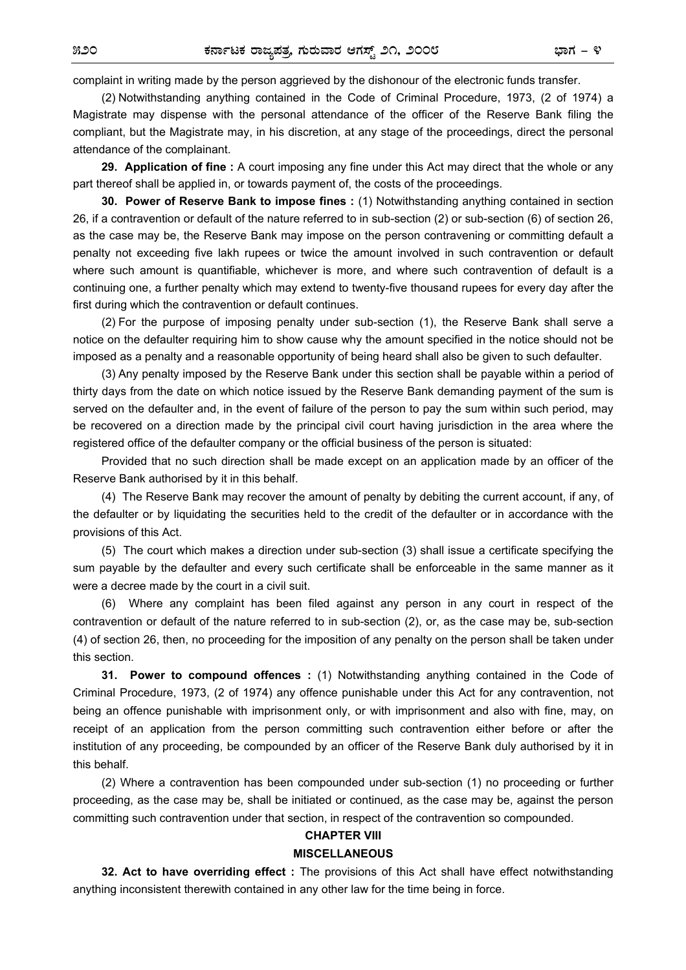complaint in writing made by the person aggrieved by the dishonour of the electronic funds transfer.

(2) Notwithstanding anything contained in the Code of Criminal Procedure, 1973, (2 of 1974) a Magistrate may dispense with the personal attendance of the officer of the Reserve Bank filing the compliant, but the Magistrate may, in his discretion, at any stage of the proceedings, direct the personal attendance of the complainant.

**29. Application of fine :** A court imposing any fine under this Act may direct that the whole or any part thereof shall be applied in, or towards payment of, the costs of the proceedings.

**30. Power of Reserve Bank to impose fines :** (1) Notwithstanding anything contained in section 26, if a contravention or default of the nature referred to in sub-section (2) or sub-section (6) of section 26, as the case may be, the Reserve Bank may impose on the person contravening or committing default a penalty not exceeding five lakh rupees or twice the amount involved in such contravention or default where such amount is quantifiable, whichever is more, and where such contravention of default is a continuing one, a further penalty which may extend to twenty-five thousand rupees for every day after the first during which the contravention or default continues.

(2) For the purpose of imposing penalty under sub-section (1), the Reserve Bank shall serve a notice on the defaulter requiring him to show cause why the amount specified in the notice should not be imposed as a penalty and a reasonable opportunity of being heard shall also be given to such defaulter.

(3) Any penalty imposed by the Reserve Bank under this section shall be payable within a period of thirty days from the date on which notice issued by the Reserve Bank demanding payment of the sum is served on the defaulter and, in the event of failure of the person to pay the sum within such period, may be recovered on a direction made by the principal civil court having jurisdiction in the area where the registered office of the defaulter company or the official business of the person is situated:

Provided that no such direction shall be made except on an application made by an officer of the Reserve Bank authorised by it in this behalf.

(4) The Reserve Bank may recover the amount of penalty by debiting the current account, if any, of the defaulter or by liquidating the securities held to the credit of the defaulter or in accordance with the provisions of this Act.

(5) The court which makes a direction under sub-section (3) shall issue a certificate specifying the sum payable by the defaulter and every such certificate shall be enforceable in the same manner as it were a decree made by the court in a civil suit.

(6) Where any complaint has been filed against any person in any court in respect of the contravention or default of the nature referred to in sub-section (2), or, as the case may be, sub-section (4) of section 26, then, no proceeding for the imposition of any penalty on the person shall be taken under this section.

**31. Power to compound offences :** (1) Notwithstanding anything contained in the Code of Criminal Procedure, 1973, (2 of 1974) any offence punishable under this Act for any contravention, not being an offence punishable with imprisonment only, or with imprisonment and also with fine, may, on receipt of an application from the person committing such contravention either before or after the institution of any proceeding, be compounded by an officer of the Reserve Bank duly authorised by it in this behalf.

(2) Where a contravention has been compounded under sub-section (1) no proceeding or further proceeding, as the case may be, shall be initiated or continued, as the case may be, against the person committing such contravention under that section, in respect of the contravention so compounded.

# **CHAPTER VIII**

## **MISCELLANEOUS**

**32. Act to have overriding effect :** The provisions of this Act shall have effect notwithstanding anything inconsistent therewith contained in any other law for the time being in force.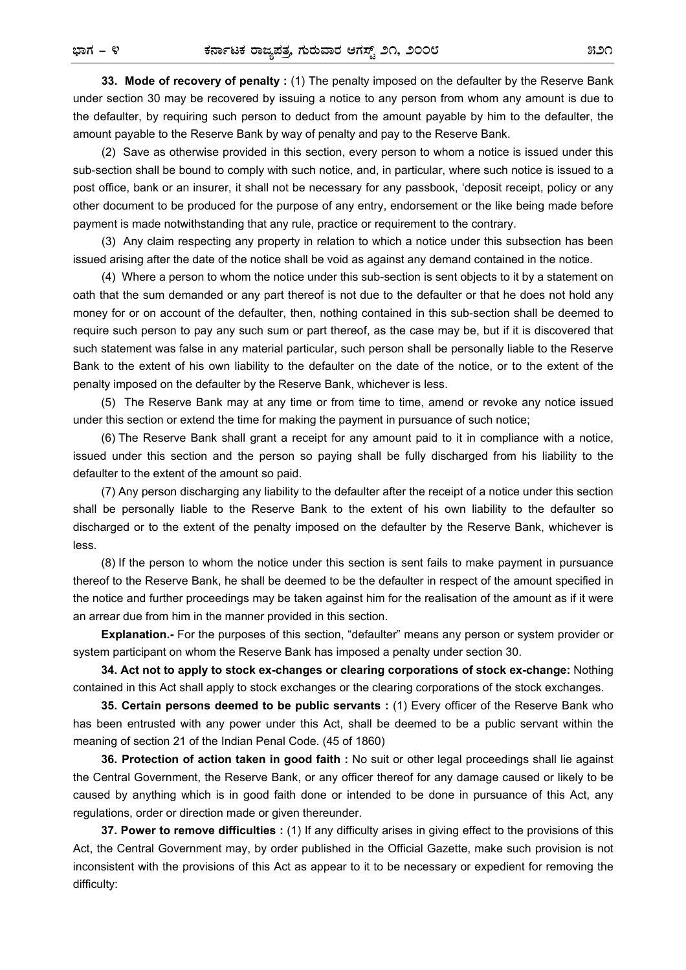**33. Mode of recovery of penalty :** (1) The penalty imposed on the defaulter by the Reserve Bank under section 30 may be recovered by issuing a notice to any person from whom any amount is due to the defaulter, by requiring such person to deduct from the amount payable by him to the defaulter, the amount payable to the Reserve Bank by way of penalty and pay to the Reserve Bank.

(2) Save as otherwise provided in this section, every person to whom a notice is issued under this sub-section shall be bound to comply with such notice, and, in particular, where such notice is issued to a post office, bank or an insurer, it shall not be necessary for any passbook, 'deposit receipt, policy or any other document to be produced for the purpose of any entry, endorsement or the like being made before payment is made notwithstanding that any rule, practice or requirement to the contrary.

(3) Any claim respecting any property in relation to which a notice under this subsection has been issued arising after the date of the notice shall be void as against any demand contained in the notice.

(4) Where a person to whom the notice under this sub-section is sent objects to it by a statement on oath that the sum demanded or any part thereof is not due to the defaulter or that he does not hold any money for or on account of the defaulter, then, nothing contained in this sub-section shall be deemed to require such person to pay any such sum or part thereof, as the case may be, but if it is discovered that such statement was false in any material particular, such person shall be personally liable to the Reserve Bank to the extent of his own liability to the defaulter on the date of the notice, or to the extent of the penalty imposed on the defaulter by the Reserve Bank, whichever is less.

(5) The Reserve Bank may at any time or from time to time, amend or revoke any notice issued under this section or extend the time for making the payment in pursuance of such notice;

(6) The Reserve Bank shall grant a receipt for any amount paid to it in compliance with a notice, issued under this section and the person so paying shall be fully discharged from his liability to the defaulter to the extent of the amount so paid.

(7) Any person discharging any liability to the defaulter after the receipt of a notice under this section shall be personally liable to the Reserve Bank to the extent of his own liability to the defaulter so discharged or to the extent of the penalty imposed on the defaulter by the Reserve Bank, whichever is less.

(8) If the person to whom the notice under this section is sent fails to make payment in pursuance thereof to the Reserve Bank, he shall be deemed to be the defaulter in respect of the amount specified in the notice and further proceedings may be taken against him for the realisation of the amount as if it were an arrear due from him in the manner provided in this section.

**Explanation.-** For the purposes of this section, "defaulter" means any person or system provider or system participant on whom the Reserve Bank has imposed a penalty under section 30.

**34. Act not to apply to stock ex-changes or clearing corporations of stock ex-change:** Nothing contained in this Act shall apply to stock exchanges or the clearing corporations of the stock exchanges.

**35. Certain persons deemed to be public servants :** (1) Every officer of the Reserve Bank who has been entrusted with any power under this Act, shall be deemed to be a public servant within the meaning of section 21 of the Indian Penal Code. (45 of 1860)

**36. Protection of action taken in good faith :** No suit or other legal proceedings shall lie against the Central Government, the Reserve Bank, or any officer thereof for any damage caused or likely to be caused by anything which is in good faith done or intended to be done in pursuance of this Act, any regulations, order or direction made or given thereunder.

**37. Power to remove difficulties :** (1) If any difficulty arises in giving effect to the provisions of this Act, the Central Government may, by order published in the Official Gazette, make such provision is not inconsistent with the provisions of this Act as appear to it to be necessary or expedient for removing the difficulty: